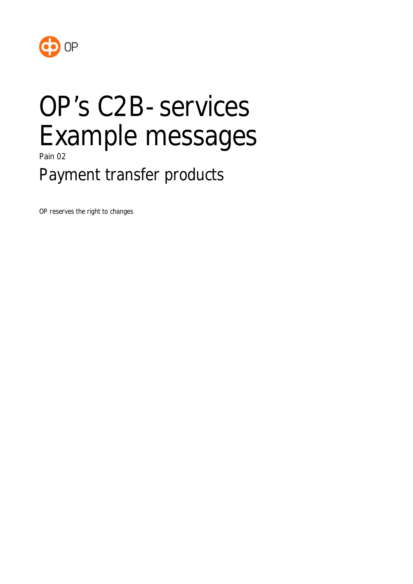

# OP's C2B-services Example messages

Pain 02

Payment transfer products

OP reserves the right to changes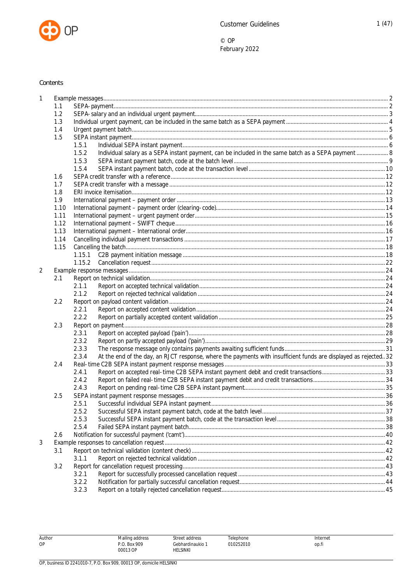

### Contents

| 1 |      |        |                                                                                                                  |      |
|---|------|--------|------------------------------------------------------------------------------------------------------------------|------|
|   | 1.1  |        |                                                                                                                  |      |
|   | 1.2  |        |                                                                                                                  |      |
|   | 1.3  |        |                                                                                                                  |      |
|   | 1.4  |        |                                                                                                                  |      |
|   | 1.5  |        |                                                                                                                  |      |
|   |      | 1.5.1  |                                                                                                                  |      |
|   |      | 1.5.2  | Individual salary as a SEPA instant payment, can be included in the same batch as a SEPA payment  8              |      |
|   |      | 1.5.3  |                                                                                                                  |      |
|   |      | 1.5.4  |                                                                                                                  |      |
|   | 1.6  |        |                                                                                                                  |      |
|   | 1.7  |        |                                                                                                                  |      |
|   | 1.8  |        |                                                                                                                  |      |
|   | 1.9  |        |                                                                                                                  |      |
|   | 1.10 |        |                                                                                                                  |      |
|   | 1.11 |        |                                                                                                                  |      |
|   | 1.12 |        |                                                                                                                  |      |
|   | 1.13 |        |                                                                                                                  |      |
|   | 1.14 |        |                                                                                                                  |      |
|   | 1.15 |        |                                                                                                                  |      |
|   |      | 1.15.1 |                                                                                                                  |      |
|   |      | 1.15.2 |                                                                                                                  |      |
| 2 |      |        |                                                                                                                  |      |
|   | 2.1  |        |                                                                                                                  |      |
|   |      | 2.1.1  |                                                                                                                  |      |
|   |      | 2.1.2  |                                                                                                                  |      |
|   | 2.2  |        |                                                                                                                  |      |
|   |      | 2.2.1  |                                                                                                                  |      |
|   |      | 2.2.2  |                                                                                                                  |      |
|   | 2.3  |        |                                                                                                                  |      |
|   |      | 2.3.1  |                                                                                                                  |      |
|   |      | 2.3.2  |                                                                                                                  |      |
|   |      | 2.3.3  |                                                                                                                  |      |
|   |      | 2.3.4  | At the end of the day, an RJCT response, where the payments with insufficient funds are displayed as rejected 32 |      |
|   | 2.4  |        |                                                                                                                  |      |
|   |      | 2.4.1  |                                                                                                                  |      |
|   |      | 2.4.2  |                                                                                                                  |      |
|   |      | 2.4.3  |                                                                                                                  |      |
|   | 2.5  |        |                                                                                                                  |      |
|   |      | 2.5.1  |                                                                                                                  | . 36 |
|   |      | 2.5.2  |                                                                                                                  |      |
|   |      | 2.5.3  |                                                                                                                  |      |
|   |      | 2.5.4  |                                                                                                                  |      |
|   | 2.6  |        |                                                                                                                  |      |
| 3 |      |        |                                                                                                                  |      |
|   | 3.1  |        |                                                                                                                  |      |
|   |      | 3.1.1  |                                                                                                                  |      |
|   | 3.2  |        |                                                                                                                  |      |
|   |      | 3.2.1  |                                                                                                                  |      |
|   |      | 3.2.2  |                                                                                                                  |      |
|   |      | 3.2.3  |                                                                                                                  |      |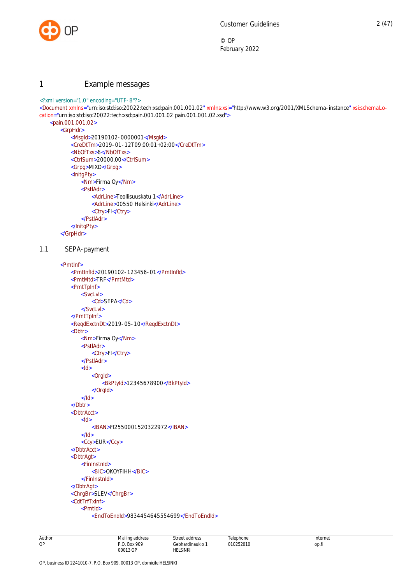

# <span id="page-2-0"></span>1 Example messages

#### <?xml version="1.0" encoding="UTF-8"?>

<Document xmlns="urn:iso:std:iso:20022:tech:xsd:pain.001.001.02" xmlns:xsi="http://www.w3.org/2001/XMLSchema-instance" xsi:schemaLocation="urn:iso:std:iso:20022:tech:xsd:pain.001.001.02 pain.001.001.02.xsd">

#### <pain.001.001.02> <GrpHdr>

```
<MsgId>20190102-0000001</MsgId>
   <CreDtTm>2019-01-12T09:00:01+02:00</CreDtTm>
   <NbOfTxs>6</NbOfTxs>
   <CtrlSum>20000.00</CtrlSum>
   <Grpg>MIXD</Grpg>
   <InitgPty>
       <Nm>Firma Oy</Nm>
       <PstlAdr>
           <AdrLine>Teollisuuskatu 1</AdrLine>
           <AdrLine>00550 Helsinki</AdrLine>
           <Ctry>FI</Ctry>
       </PstlAdr>
   </InitgPty>
</GrpHdr>
```
#### 1.1 SEPA-payment

```
<PmtInf>
   <PmtInfId>20190102-123456-01</PmtInfId>
   <PmtMtd>TRF</PmtMtd>
   <PmtTpInf>
       <SvcLvl>
           <Cd>SEPA</Cd>
       </SvcLvl>
   </PmtTpInf>
   <ReqdExctnDt>2019-05-10</ReqdExctnDt>
   <Dbtr>
       <Nm>Firma Oy</Nm>
       <PstlAdr>
           <Ctry>FI</Ctry>
       </PstlAdr>
       <Id><OrgId>
               <BkPtyId>12345678900</BkPtyId>
           </OrgId>
       </Id>
   </Dbtr>
   <DbtrAcct>
       <Id><IBAN>FI2550001520322972</IBAN>
       </Id>
       <Ccy>EUR</Ccy>
   </DbtrAcct>
   <DbtrAgt>
       <FinInstnId>
           <BIC>OKOYFIHH</BIC>
       </FinInstnId>
   </DbtrAgt>
   <ChrgBr>SLEV</ChrgBr>
   <CdtTrfTxInf>
       <PmtId>
           <EndToEndId>9834454645554699</EndToEndId>
```
Author OP Mailing address P.O. Box 909 00013 OP Street address Gebhardinaukio 1 HELSINKI Telephone 010252010 Internet op.fi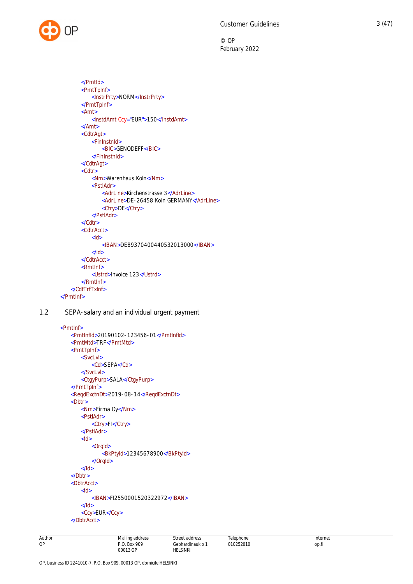

```
</PmtId>
       <PmtTpInf>
           <InstrPrty>NORM</InstrPrty>
       </PmtTpInf>
       <Amt>
           <InstdAmt Ccy="EUR">150</InstdAmt>
       </Amt>
       <CdtrAgt>
           <FinInstnId>
               <BIC>GENODEFF</BIC>
           </FinInstnId>
       </CdtrAgt>
       <Cdtr>
           <Nm>Warenhaus Koln</Nm>
           <PstlAdr>
               <AdrLine>Kirchenstrasse 3</AdrLine>
               <AdrLine>DE-26458 Koln GERMANY</AdrLine>
               <Ctry>DE</Ctry>
           </PstlAdr>
       </Cdtr>
       <CdtrAcct>
           <Id><IBAN>DE89370400440532013000</IBAN>
           </Id>
       </CdtrAcct>
       <RmtInf>
           <Ustrd>Invoice 123</Ustrd>
       </RmtInf>
   </CdtTrfTxInf>
</PmtInf>
```
1.2 SEPA-salary and an individual urgent payment

```
 <PmtInf>
   <PmtInfId>20190102-123456-01</PmtInfId>
   <PmtMtd>TRF</PmtMtd>
   <PmtTpInf>
       <SvcLvl>
           <Cd>SEPA</Cd>
       </SvcLvl>
       <CtgyPurp>SALA</CtgyPurp>
   </PmtTpInf>
   <ReqdExctnDt>2019-08-14</ReqdExctnDt>
   <Dbtr>
       <Nm>Firma Oy</Nm>
       <PstlAdr>
           <Ctry>FI</Ctry>
       </PstlAdr>
       <Id><OrgId>
              <BkPtyId>12345678900</BkPtyId>
           </OrgId>
       </Id></Dbtr>
   <DbtrAcct>
       <Id><IBAN>FI2550001520322972</IBAN>
       </Id>
       <Ccy>EUR</Ccy>
   </DbtrAcct>
```
Author

OP

**Telenhone** 010252010 Internet op.fi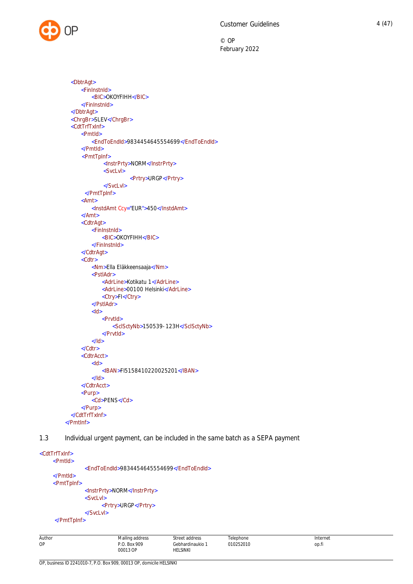

```
<DbtrAgt>
     <FinInstnId>
         <BIC>OKOYFIHH</BIC>
     </FinInstnId>
  </DbtrAgt>
  <ChrgBr>SLEV</ChrgBr>
  <CdtTrfTxInf>
     <PmtId>
         <EndToEndId>9834454645554699</EndToEndId>
     </PmtId>
     <PmtTpInf>
              <InstrPrty>NORM</InstrPrty>
              <SvcLvl>
                       <Prtry>URGP</Prtry>
              </SvcLvl>
       </PmtTpInf>
     <Amt>
         <InstdAmt Ccy="EUR">450</InstdAmt>
     </Amt>
     <CdtrAgt>
         <FinInstnId>
             <BIC>OKOYFIHH</BIC>
         </FinInstnId>
     </CdtrAgt>
     <Cdtr>
         <Nm>Ella Eläkkeensaaja</Nm>
         <PstlAdr>
             <AdrLine>Kotikatu 1</AdrLine>
             <AdrLine>00100 Helsinki</AdrLine>
             <Ctry>FI</Ctry>
         </PstlAdr>
         <Id><PrvtId>
                 <SclSctyNb>150539-123H</SclSctyNb>
             </PrvtId>
         </Id>
     </Cdtr>
     <CdtrAcct>
         <Id><IBAN>FI5158410220025201</IBAN>
         </Id></CdtrAcct>
     <Purp>
         <Cd>PENS</Cd>
     </Purp>
  </CdtTrfTxInf>
</PmtInf>
```
<span id="page-4-0"></span>1.3 Individual urgent payment, can be included in the same batch as a SEPA payment

```
<CdtTrfTxInf>
     <PmtId>
                <EndToEndId>9834454645554699</EndToEndId>
     </PmtId>
     <PmtTpInf>
```

```
<InstrPrty>NORM</InstrPrty>
<SvcLvl>
      <Prtry>URGP</Prtry>
</SvcLvl>
```

```
</PmtTpInf>
```

| Author | Mailing address | Street address   | Telephone | Internet |
|--------|-----------------|------------------|-----------|----------|
| OP     | P.O. Box 909    | Gebhardinaukio ; | 010252010 | op.fi    |
|        | 00013 OP        | HELSINKI         |           |          |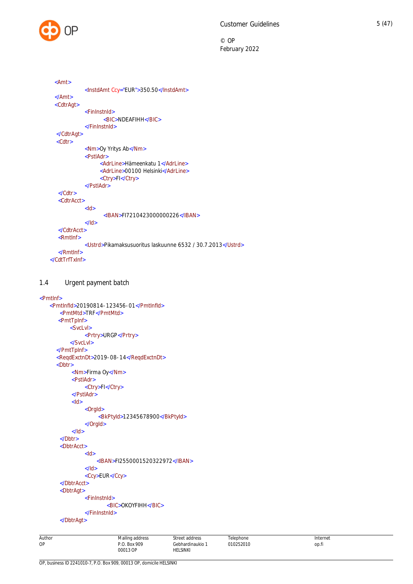```
 <Amt>
            <InstdAmt Ccy="EUR">350.50</InstdAmt>
 </Amt>
  <CdtrAgt>
            <FinInstnId>
                   <BIC>NDEAFIHH</BIC>
            </FinInstnId>
  </CdtrAgt>
   <Cdtr>
            <Nm>Oy Yritys Ab</Nm>
            <PstlAdr>
                  <AdrLine>Hämeenkatu 1</AdrLine>
                  <AdrLine>00100 Helsinki</AdrLine>
                  <Ctry>FI</Ctry>
             </PstlAdr>
  </Cdtr>
   <CdtrAcct>
            <Id><IBAN>FI7210423000000226</IBAN>
            </Id>
   </CdtrAcct>
    <RmtInf>
            <Ustrd>Pikamaksusuoritus laskuunne 6532 / 30.7.2013</Ustrd>
    </RmtInf>
</CdtTrfTxInf>
```
# <span id="page-5-0"></span>1.4 Urgent payment batch

```
<PmtInf>
   <PmtInfId>20190814-123456-01</PmtInfId>
       <PmtMtd>TRF</PmtMtd>
      <PmtTpInf>
           <SvcLvl>
                <Prtry>URGP</Prtry>
          </SvcLvl>
      </PmtTpInf>
      <ReqdExctnDt>2019-08-14</ReqdExctnDt>
       <Dbtr>
            <Nm>Firma Oy</Nm>
            <PstlAdr>
                <Ctry>FI</Ctry>
           </PstlAdr>
           <Id><OrgId>
                     <BkPtyId>12345678900</BkPtyId>
                </OrgId>
           </Id></Dbtr>
       <DbtrAcct>
                <Id><IBAN>FI2550001520322972</IBAN>
                </Id><Ccy>EUR</Ccy>
       </DbtrAcct>
        <DbtrAgt>
                <FinInstnId>
                        <BIC>OKOYFIHH</BIC>
                </FinInstnId>
       </DbtrAgt>
```

| Author<br>. | Mailing address<br>the contract of the contract of<br>. | streef<br>address<br>. | Felephone | Internet |
|-------------|---------------------------------------------------------|------------------------|-----------|----------|
| OP          | Box 909<br>ה ה                                          | Gebhardinaukio         | 10252010  | op.fi    |
|             | 00013 OP                                                | HELSINKI               |           |          |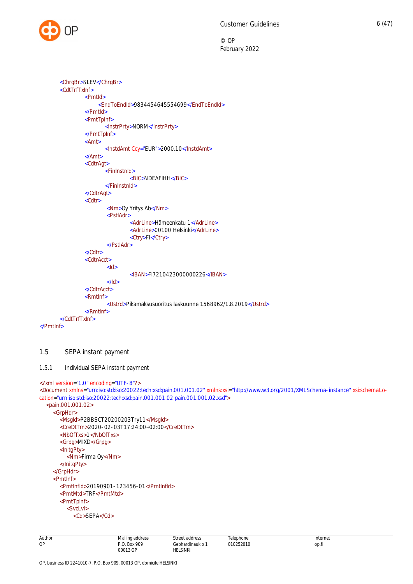

```
 <ChrgBr>SLEV</ChrgBr>
        <CdtTrfTxInf>
                <PmtId>
                     <EndToEndId>9834454645554699</EndToEndId>
                </PmtId>
                <PmtTpInf>
                        <InstrPrty>NORM</InstrPrty>
                </PmtTpInf>
                <Amt>
                        <InstdAmt Ccy="EUR">2000.10</InstdAmt>
                </Amt>
                <CdtrAgt>
                        <FinInstnId>
                                 <BIC>NDEAFIHH</BIC>
                        </FinInstnId>
                </CdtrAgt>
                <Cdtr>
                        <Nm>Oy Yritys Ab</Nm>
                        <PstlAdr>
                                 <AdrLine>Hämeenkatu 1</AdrLine>
                                 <AdrLine>00100 Helsinki</AdrLine>
                                 <Ctry>FI</Ctry>
                        </PstlAdr>
                </Cdtr>
                <CdtrAcct>
                        <Id>
                                 <IBAN>FI7210423000000226</IBAN>
                        </Id></CdtrAcct>
                <RmtInf>
                        <Ustrd>Pikamaksusuoritus laskuunne 1568962/1.8.2019</Ustrd>
                </RmtInf>
        </CdtTrfTxInf>
</PmtInf>
```
# <span id="page-6-0"></span>1.5 SEPA instant payment

```
1.5.1 Individual SEPA instant payment
```
<?xml version="1.0" encoding="UTF-8"?>

<Document xmlns="urn:iso:std:iso:20022:tech:xsd:pain.001.001.02" xmlns:xsi="http://www.w3.org/2001/XMLSchema-instance" xsi:schemaLocation="urn:iso:std:iso:20022:tech:xsd:pain.001.001.02 pain.001.001.02.xsd">

```
<pain.001.001.02>
  <GrpHdr>
    <MsgId>P2BBSCT20200203Try11</MsgId>
    <CreDtTm>2020-02-03T17:24:00+02:00</CreDtTm>
    <NbOfTxs>1</NbOfTxs>
    <Grpg>MIXD</Grpg>
    <InitgPty>
       <Nm>Firma Oy</Nm>
    </InitgPty>
  </GrpHdr>
  <PmtInf>
    <PmtInfId>20190901-123456-01</PmtInfId>
    <PmtMtd>TRF</PmtMtd>
    <PmtTpInf>
       <SvcLvl>
         <Cd>SEPA</Cd>
```

| Author | Mailing address                   | Street address            | Telephone | Internet |
|--------|-----------------------------------|---------------------------|-----------|----------|
| OP     | <b>Box 909</b><br>n n<br>00013 OP | Gebhardinaukio<br>ELSINKI | 010252010 | op.t.    |
|        |                                   |                           |           |          |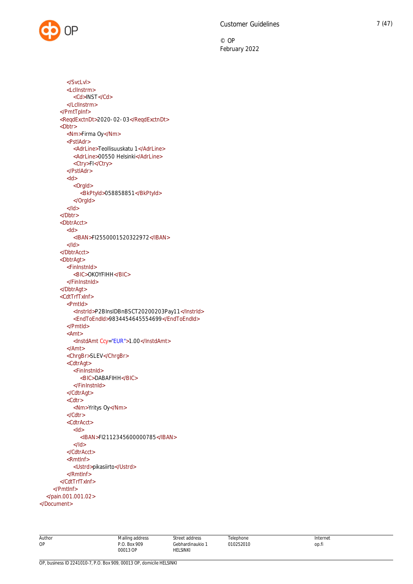</SvcLvl> <LclInstrm> <Cd>INST</Cd> </LclInstrm> </PmtTpInf> <ReqdExctnDt>2020-02-03</ReqdExctnDt>  $$ <Nm>Firma Oy</Nm> <PstlAdr> <AdrLine>Teollisuuskatu 1</AdrLine> <AdrLine>00550 Helsinki</AdrLine> <Ctry>FI</Ctry> </PstlAdr>  $<$ Id $>$ <OrgId> <BkPtyId>058858851</BkPtyId> </OrgId>  $<$ /Id $>$ </Dbtr> <DbtrAcct> <Id> <IBAN>FI2550001520322972</IBAN>  $<$ /Id $>$ </DbtrAcct> <DbtrAgt> <FinInstnId> <BIC>OKOYFIHH</BIC> </FinInstnId> </DbtrAgt> <CdtTrfTxInf> <PmtId> <InstrId>P2BInsIDBnBSCT20200203Pay11</InstrId> <EndToEndId>9834454645554699</EndToEndId> </PmtId> <Amt> <InstdAmt Ccy="EUR">1.00</InstdAmt> </Amt> <ChrgBr>SLEV</ChrgBr> <CdtrAgt> <FinInstnId> <BIC>DABAFIHH</BIC> </FinInstnId> </CdtrAgt> <Cdtr> <Nm>Yritys Oy</Nm> </Cdtr> <CdtrAcct>  $<$ Id $>$ <IBAN>FI2112345600000785</IBAN>  $<$ /Id $>$ </CdtrAcct> <RmtInf> <Ustrd>pikasiirto</Ustrd> </RmtInf> </CdtTrfTxInf> </PmtInf> </pain.001.001.02> </Document>

| AUTOC |
|-------|
| ۰¢    |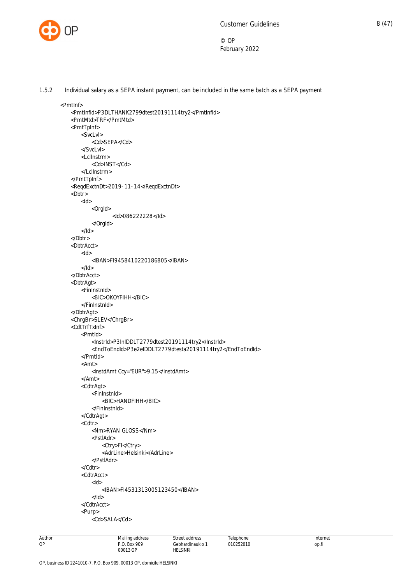

Author OP

© OP February 2022

1.5.2 Individual salary as a SEPA instant payment, can be included in the same batch as a SEPA payment

```
Mailing address
                                           Street address
                                                                 Telenhone
 <PmtInf>
     <PmtInfId>P3DLTHANK2799dtest20191114try2</PmtInfId>
     <PmtMtd>TRF</PmtMtd>
     <PmtTpInf>
        <SvcLvl>
             <Cd>SEPA</Cd>
         </SvcLvl>
         <LclInstrm>
            <Cd>INST</Cd>
         </LclInstrm>
     </PmtTpInf>
     <ReqdExctnDt>2019-11-14</ReqdExctnDt>
     <Dbtr>
       <Id> <OrgId>
                    <Id>086222228</Id>
             </OrgId>
        </Id> </Dbtr>
     <DbtrAcct>
        <Id> <IBAN>FI9458410220186805</IBAN>
        </Id> </DbtrAcct>
     <DbtrAgt>
        <FinInstnId>
             <BIC>OKOYFIHH</BIC>
         </FinInstnId>
     </DbtrAgt>
     <ChrgBr>SLEV</ChrgBr>
     <CdtTrfTxInf>
        <PmtId>
             <InstrId>P3InIDDLT2779dtest20191114try2</InstrId>
             <EndToEndId>P3e2eIDDLT2779dtesta20191114try2</EndToEndId>
         </PmtId>
         <Amt>
             <InstdAmt Ccy="EUR">9.15</InstdAmt>
         </Amt>
         <CdtrAgt>
             <FinInstnId>
                 <BIC>HANDFIHH</BIC>
             </FinInstnId>
         </CdtrAgt>
         <Cdtr>
            <Nm>RYAN GLOSS</Nm>
             <PstlAdr>
                <Ctry>FI</Ctry>
                <AdrLine>Helsinki</AdrLine>
             </PstlAdr>
         </Cdtr>
         <CdtrAcct>
            <Id> <IBAN>FI4531313005123450</IBAN>
            </Id> </CdtrAcct>
         <Purp>
             <Cd>SALA</Cd>
```
Gebhardinaukio 1

010252010

Internet op.fi

P.O. Box 909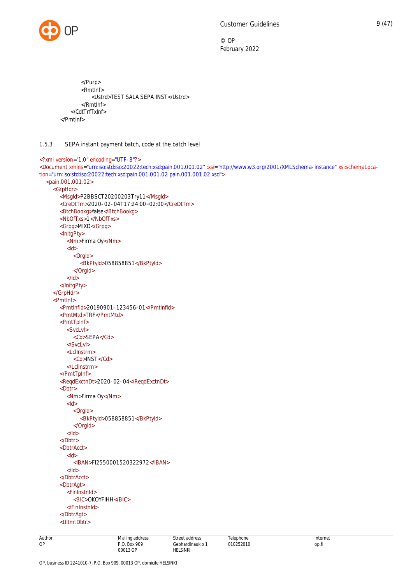

```
 </Purp>
         <RmtInf>
             <Ustrd>TEST SALA SEPA INST</Ustrd>
         </RmtInf>
     </CdtTrfTxInf>
 </PmtInf>
```
# <span id="page-9-0"></span>1.5.3 SEPA instant payment batch, code at the batch level

```
<?xml version="1.0" encoding="UTF-8"?>
<Document xmlns="urn:iso:std:iso:20022:tech:xsd:pain.001.001.02" :xsi="http://www.w3.org/2001/XMLSchema-instance" xsi:schemaLoca-
tion="urn:iso:std:iso:20022:tech:xsd:pain.001.001.02 pain.001.001.02.xsd">
  <pain.001.001.02>
    <GrpHdr>
       <MsgId>P2BBSCT20200203Try11</MsgId>
       <CreDtTm>2020-02-04T17:24:00+02:00</CreDtTm>
       <BtchBookg>false</BtchBookg>
       <NbOfTxs>1</NbOfTxs>
       <Grpg>MIXD</Grpg>
       <InitgPty>
         <Nm>Firma Oy</Nm>
          <Id>
            <OrgId>
               <BkPtyId>058858851</BkPtyId>
            </OrgId>
          </Id>
       </InitgPty>
    </GrpHdr>
    <PmtInf>
       <PmtInfId>20190901-123456-01</PmtInfId>
       <PmtMtd>TRF</PmtMtd>
       <PmtTpInf>
          <SvcLvl>
            <Cd>SEPA</Cd>
          </SvcLvl>
          <LclInstrm>
            <Cd>INST</Cd>
          </LclInstrm>
       </PmtTpInf>
       <ReqdExctnDt>2020-02-04</ReqdExctnDt>
       <Dbtr>
          <Nm>Firma Oy</Nm>
          <Id><OrgId>
               <BkPtyId>058858851</BkPtyId>
            </OrgId>
          </Id></Dbtr>
       <DbtrAcct>
          <Id><IBAN>FI2550001520322972</IBAN>
          </Id></DbtrAcct>
       <DbtrAgt>
          <FinInstnId>
            <BIC>OKOYFIHH</BIC>
          </FinInstnId>
       </DbtrAgt>
       <UltmtDbtr>
```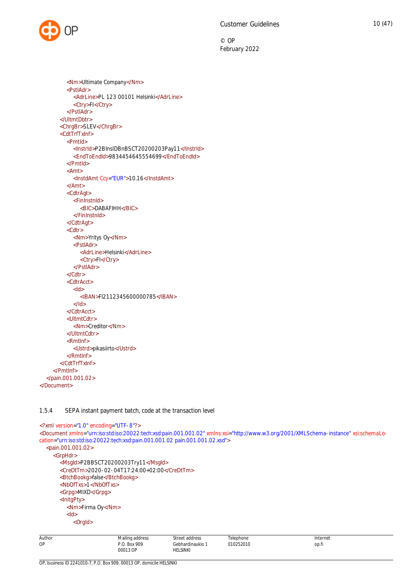

```
<Nm>Ultimate Company</Nm>
          <PstlAdr>
            <AdrLine>PL 123 00101 Helsinki</AdrLine>
            <Ctry>FI</Ctry>
          </PstlAdr>
       </UltmtDbtr>
       <ChrgBr>SLEV</ChrgBr>
       <CdtTrfTxInf>
          <PmtId>
            <InstrId>P2BInsIDBnBSCT20200203Pay11</InstrId>
            <EndToEndId>9834454645554699</EndToEndId>
          </PmtId>
          <Amt>
            <InstdAmt Ccy="EUR">10.16</InstdAmt>
          </Amt>
          <CdtrAgt>
            <FinInstnId>
               <BIC>DABAFIHH</BIC>
            </FinInstnId>
          </CdtrAgt>
          <Cdtr>
            <Nm>Yritys Oy</Nm>
            <PstlAdr>
               <AdrLine>Helsinki</AdrLine>
               <Ctry>FI</Ctry>
            </PstlAdr>
          </Cdtr>
          <CdtrAcct>
            <Id>
               <IBAN>FI2112345600000785</IBAN>
            </Id></CdtrAcct>
          <UltmtCdtr>
            <Nm>Creditor</Nm>
          </UltmtCdtr>
          <RmtInf>
            <Ustrd>pikasiirto</Ustrd>
          </RmtInf>
       </CdtTrfTxInf>
    </PmtInf>
  </pain.001.001.02>
</Document>
```
# <span id="page-10-0"></span>1.5.4 SEPA instant payment batch, code at the transaction level

```
Author
OP
                              Mailing address
                              P.O. Box 909
                                                   Street address
                                                   Gebhardinaukio 1
                                                                        Telephone
                                                                        010252010
                                                                                                         Internet
                                                                                                         op.fi
<?xml version="1.0" encoding="UTF-8"?>
<Document xmlns="urn:iso:std:iso:20022:tech:xsd:pain.001.001.02" xmlns:xsi="http://www.w3.org/2001/XMLSchema-instance" xsi:schemaLo-
cation="urn:iso:std:iso:20022:tech:xsd:pain.001.001.02 pain.001.001.02.xsd">
  <pain.001.001.02>
     <GrpHdr>
       <MsgId>P2BBSCT20200203Try11</MsgId>
       <CreDtTm>2020-02-04T17:24:00+02:00</CreDtTm>
       <BtchBookg>false</BtchBookg>
       <NbOfTxs>1</NbOfTxs>
       <Grpg>MIXD</Grpg>
       <InitgPty>
          <Nm>Firma Oy</Nm>
          <Id>
             <OrgId>
```
HELSINKI

00013 OP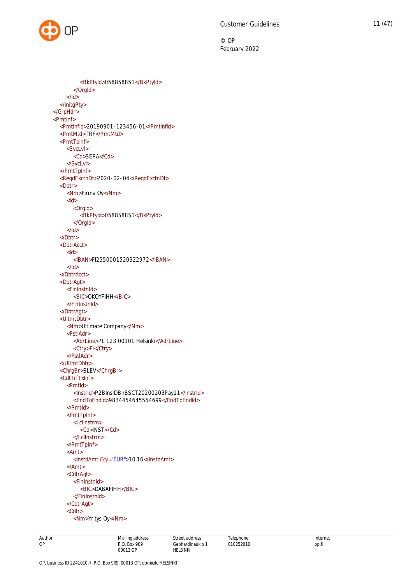```
<BkPtyId>058858851</BkPtyId>
       </OrgId>
     </Id>
  </InitgPty>
</GrpHdr>
<PmtInf>
  <PmtInfId>20190901-123456-01</PmtInfId>
  <PmtMtd>TRF</PmtMtd>
  <PmtTpInf>
     <SvcLvl>
       <Cd>SEPA</Cd>
     </SvcLvl>
  </PmtTpInf>
  <ReqdExctnDt>2020-02-04</ReqdExctnDt>
  \overline{\text{<}}Dbtr>
     <Nm>Firma Oy</Nm>
     <Id><OrgId>
          <BkPtyId>058858851</BkPtyId>
       </OrgId>
     </Id></Dbtr>
  <DbtrAcct>
     <Id>
       <IBAN>FI2550001520322972</IBAN>
     </Id>
  </DbtrAcct>
  <DbtrAgt>
     <FinInstnId>
       <BIC>OKOYFIHH</BIC>
     </FinInstnId>
  </DbtrAgt>
  <UltmtDbtr>
     <Nm>Ultimate Company</Nm>
     <PstlAdr>
       <AdrLine>PL 123 00101 Helsinki</AdrLine>
       <Ctry>FI</Ctry>
     </PstlAdr>
  </UltmtDbtr>
  <ChrgBr>SLEV</ChrgBr>
  <CdtTrfTxInf>
     <PmtId>
       <InstrId>P2BInsIDBnBSCT20200203Pay11</InstrId>
       <EndToEndId>9834454645554699</EndToEndId>
     </PmtId>
     <PmtTpInf>
       <LclInstrm>
          <Cd>INST</Cd>
       </LclInstrm>
     </PmtTpInf>
     <Amt>
       <InstdAmt Ccy="EUR">10.16</InstdAmt>
     </Amt>
     <CdtrAgt>
       <FinInstnId>
          <BIC>DABAFIHH</BIC>
       </FinInstnId>
     </CdtrAgt>
     <Cdtr>
       <Nm>Yritys Oy</Nm>
```
Author Mailing address P.O. Box 909

OP, business ID 2241010-7, P.O. Box 909, 00013 OP, domicile HELSINKI

OP

Street address Gebhardinaukio 1 HELSINKI

Internet op.fi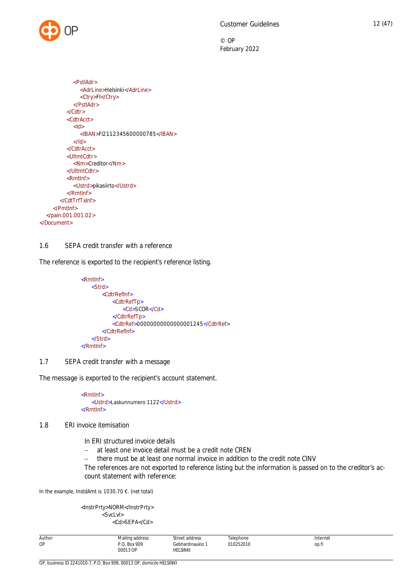

```
<PstlAdr>
               <AdrLine>Helsinki</AdrLine>
               <Ctry>FI</Ctry>
            </PstlAdr>
          </Cdtr>
          <CdtrAcct>
            <Id>
               <IBAN>FI2112345600000785</IBAN>
            </Id></CdtrAcct>
          <UltmtCdtr>
            <Nm>Creditor</Nm>
          </UltmtCdtr>
          <RmtInf>
            <Ustrd>pikasiirto</Ustrd>
          </RmtInf>
       </CdtTrfTxInf>
    </PmtInf>
  </pain.001.001.02>
</Document>
```
# <span id="page-12-0"></span>1.6 SEPA credit transfer with a reference

The reference is exported to the recipient's reference listing.

```
 <RmtInf>
   <Strd>
       <CdtrRefInf>
           <CdtrRefTp>
               <Cd>SCOR</Cd>
           </CdtrRefTp>
           <CdtrRef>00000000000000001245</CdtrRef>
       </CdtrRefInf>
   </Strd>
</RmtInf>
```
# <span id="page-12-1"></span>1.7 SEPA credit transfer with a message

The message is exported to the recipient's account statement.

 <RmtInf> <Ustrd>Laskunnumero 1122</Ustrd> </RmtInf>

# 1.8 ERI invoice itemisation

<span id="page-12-2"></span>In ERI structured invoice details

- at least one invoice detail must be a credit note CREN
- there must be at least one normal invoice in addition to the credit note CINV

The references are not exported to reference listing but the information is passed on to the creditor's account statement with reference:

In the example, InstdAmt is 1030.70 €. (net total)

<InstrPrty>NORM</InstrPrty> <SvcLvl> <Cd>SEPA</Cd>

| Author<br>. <b>. .</b> | $\cdots$<br>addr∆ce<br>Mailing<br>⊶ auu⊩cou<br>. | addroc<br>.<br>$ -$                                                | elephone      | Internet     |
|------------------------|--------------------------------------------------|--------------------------------------------------------------------|---------------|--------------|
| OP                     | 909<br>- Roi                                     | iebhardinaukio<br>.                                                | 0.050000<br>. | ___<br>op.tr |
|                        | 00013 OD<br>.                                    | <b>HELSINKI</b><br>the contract of the contract of the contract of |               |              |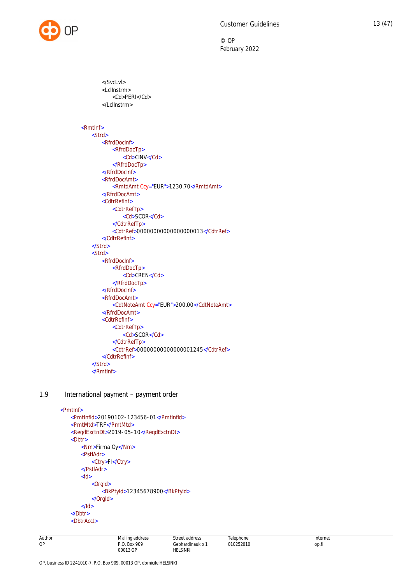

 </SvcLvl> <LclInstrm> <Cd>PERI</Cd> </LclInstrm> <RmtInf> <Strd> <RfrdDocInf> <RfrdDocTp> <Cd>CINV</Cd> </RfrdDocTp> </RfrdDocInf> <RfrdDocAmt> <RmtdAmt Ccy="EUR">1230.70</RmtdAmt> </RfrdDocAmt> <CdtrRefInf> <CdtrRefTp> <Cd>SCOR</Cd> </CdtrRefTp> <CdtrRef>00000000000000000013</CdtrRef> </CdtrRefInf> </Strd> <Strd> <RfrdDocInf> <RfrdDocTp> <Cd>CREN</Cd> </RfrdDocTp> </RfrdDocInf> <RfrdDocAmt> <CdtNoteAmt Ccy="EUR">200.00</CdtNoteAmt> </RfrdDocAmt> <CdtrRefInf> <CdtrRefTp> <Cd>SCOR</Cd> </CdtrRefTp> <CdtrRef>00000000000000001245</CdtrRef> </CdtrRefInf> </Strd> </RmtInf>

# 1.9 International payment – payment order

```
<PmtInf>
   <PmtInfId>20190102-123456-01</PmtInfId>
   <PmtMtd>TRF</PmtMtd>
   <ReqdExctnDt>2019-05-10</ReqdExctnDt>
   <Dbtr>
       <Nm>Firma Oy</Nm>
       <PstlAdr>
           <Ctry>FI</Ctry>
       </PstlAdr>
       <Id><OrgId>
              <BkPtyId>12345678900</BkPtyId>
           </OrgId>
       </Id>
   </Dbtr>
   <DbtrAcct>
```
Mailing address P.O. Box 909 00013 OP

Street address Gebhardinaukio 1 HELSINKI

**Telenhone** 010252010 Internet op.fi

Author OP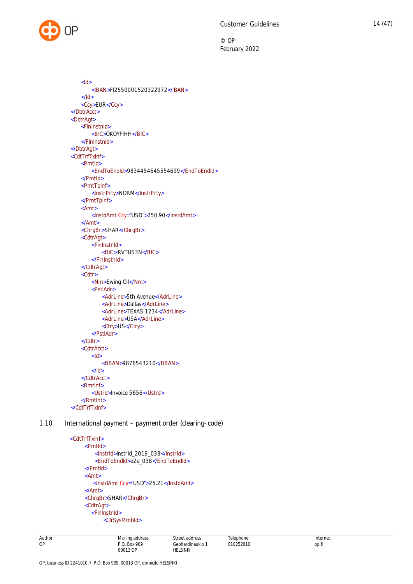

<Id> <IBAN>FI2550001520322972</IBAN>  $<$ /Id> <Ccy>EUR</Ccy> </DbtrAcct> <DbtrAgt> <FinInstnId> <BIC>OKOYFIHH</BIC> </FinInstnId> </DbtrAgt> <CdtTrfTxInf> <PmtId> <EndToEndId>9834454645554699</EndToEndId> </PmtId> <PmtTpInf> <InstrPrty>NORM</InstrPrty> </PmtTpInf> <Amt> <InstdAmt Ccy="USD">250.90</InstdAmt> </Amt> <ChrgBr>SHAR</ChrgBr> <CdtrAgt> <FinInstnId> <BIC>IRVTUS3N</BIC> </FinInstnId> </CdtrAgt> <Cdtr> <Nm>Ewing Oil</Nm> <PstlAdr> <AdrLine>5th Avenue</AdrLine> <AdrLine>Dallas</AdrLine> <AdrLine>TEXAS 1234</AdrLine> <AdrLine>USA</AdrLine> <Ctry>US</Ctry> </PstlAdr> </Cdtr> <CdtrAcct>  $<$ Id $>$ <BBAN>9876543210</BBAN>  $<$ /Id> </CdtrAcct> <RmtInf> <Ustrd>Invoice 5656</Ustrd> </RmtInf> </CdtTrfTxInf>

1.10 International payment – payment order (clearing-code)

```
 <CdtTrfTxInf>
     <PmtId>
         <InstrId>InstrId_2019_038</InstrId>
        <EndToEndId>e2e_038</EndToEndId>
     </PmtId>
     <Amt>
        <InstdAmt Ccy="USD">25.21</InstdAmt>
     </Amt>
     <ChrgBr>SHAR</ChrgBr>
     <CdtrAgt>
       <FinInstnId>
            <ClrSysMmbId>
```
Mailing address P.O. Box 909 00013 OP

Street address Gebhardinaukio 1 HELSINKI

**Telenhone** 010252010 Internet op.fi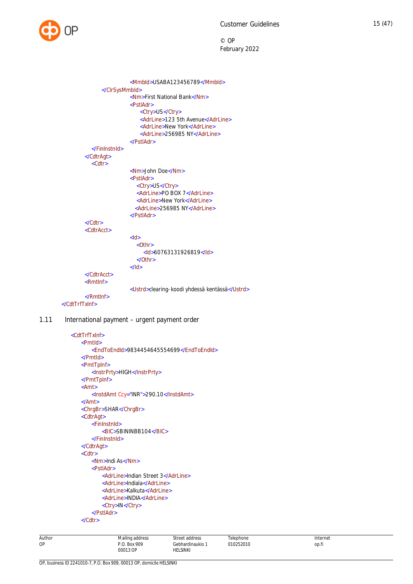

```
<MmbId>USABA123456789</MmbId>
               </ClrSysMmbId>
                         <Nm>First National Bank</Nm>
                         <PstlAdr>
                             <Ctry>US</Ctry>
                             <AdrLine>123 5th Avenue</AdrLine>
                             <AdrLine>New York</AdrLine>
                             <AdrLine>256985 NY</AdrLine>
                         </PstlAdr>
           </FinInstnId>
        </CdtrAgt>
           <Cdtr>
                         <Nm>John Doe</Nm>
                         <PstlAdr>
                            <Ctry>US</Ctry>
                            <AdrLine>PO BOX 7</AdrLine>
                            <AdrLine>New York</AdrLine>
                           <AdrLine>256985 NY</AdrLine>
                         </PstlAdr>
        </Cdtr>
        <CdtrAcct>
                         <Id>\sqrt{O^+}hrs
                              <Id>60763131926819</Id>
                            </Othr>
                         </Id>
        </CdtrAcct>
        <RmtInf>
                         <Ustrd>clearing-koodi yhdessä kentässä</Ustrd>
        </RmtInf>
 </CdtTrfTxInf>
```
# 1.11 International payment – urgent payment order

```
<CdtTrfTxInf>
   <PmtId>
       <EndToEndId>9834454645554699</EndToEndId>
   </PmtId>
   <PmtTpInf>
       <InstrPrty>HIGH</InstrPrty>
   </PmtTpInf>
   <Amt>
       <InstdAmt Ccy="INR">290.10</InstdAmt>
   </Amt>
   <ChrgBr>SHAR</ChrgBr>
   <CdtrAgt>
       <FinInstnId>
           <BIC>SBININBB104</BIC>
       </FinInstnId>
   </CdtrAgt>
   <Cdtr>
       <Nm>Indi As</Nm>
       <PstlAdr>
           <AdrLine>Indian Street 3</AdrLine>
           <AdrLine>Indiala</AdrLine>
           <AdrLine>Kalkuta</AdrLine>
           <AdrLine>INDIA</AdrLine>
           <Ctry>IN</Ctry>
       </PstlAdr>
   </Cdtr>
```

| Author | Mailing address | Street address | Telephone | Internet |
|--------|-----------------|----------------|-----------|----------|
| OP     | P.O. Box 909    | Gebhardinaukio | 010252010 | op.fi    |
|        | 00013 OP<br>.   | HELSINKI       |           |          |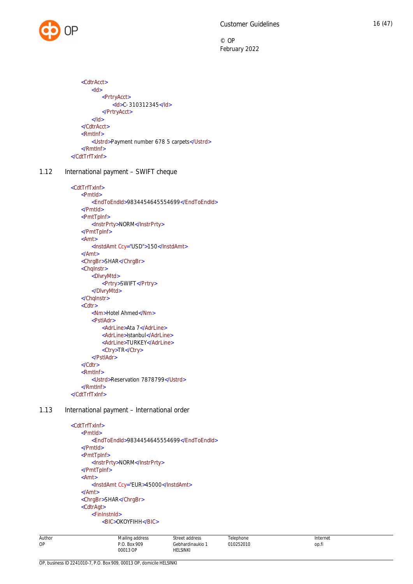

```
<CdtrAcct>
       <Id><PrtryAcct>
               <Id>C-310312345</Id>
           </PrtryAcct>
       </Id></CdtrAcct>
   <RmtInf>
       <Ustrd>Payment number 678 5 carpets</Ustrd>
   </RmtInf>
</CdtTrfTxInf>
```
1.12 International payment - SWIFT cheque

```
<CdtTrfTxInf>
   <PmtId>
       <EndToEndId>9834454645554699</EndToEndId>
   </PmtId>
   <PmtTpInf>
       <InstrPrty>NORM</InstrPrty>
   </PmtTpInf>
   <Amt>
       <InstdAmt Ccy="USD">150</InstdAmt>
   </Amt>
   <ChrgBr>SHAR</ChrgBr>
   <ChqInstr>
       <DlvryMtd>
           <Prtry>SWIFT</Prtry>
       </DlvryMtd>
   </ChqInstr>
   <Cdtr>
       <Nm>Hotel Ahmed</Nm>
       <PstlAdr>
           <AdrLine>Ata 7</AdrLine>
           <AdrLine>Istanbul</AdrLine>
           <AdrLine>TURKEY</AdrLine>
           <Ctry>TR</Ctry>
       </PstlAdr>
   </Cdtr>
   <RmtInf>
       <Ustrd>Reservation 7878799</Ustrd>
   </RmtInf>
</CdtTrfTxInf>
```
1.13 International payment – International order

```
<CdtTrfTxInf>
   <PmtId>
       <EndToEndId>9834454645554699</EndToEndId>
   </PmtId>
   <PmtTpInf>
       <InstrPrty>NORM</InstrPrty>
   </PmtTpInf>
   <Amt>
       <InstdAmt Ccy="EUR>45000</InstdAmt>
   </Amt>
   <ChrgBr>SHAR</ChrgBr>
   <CdtrAgt>
       <FinInstnId>
           <BIC>OKOYFIHH</BIC>
```
Author OP Mailing address P.O. Box 909 00013 OP Street address Gebhardinaukio 1 HELSINKI **Telenhone** 010252010 Internet op.fi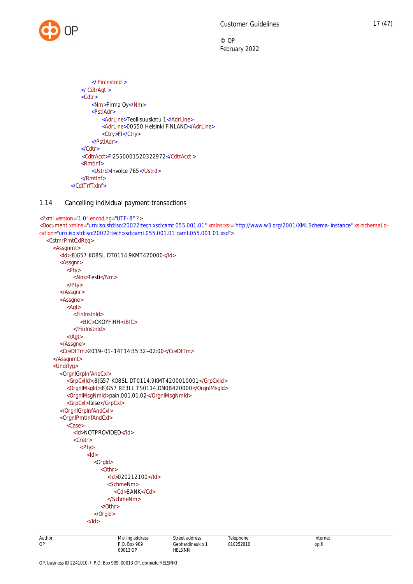```
</ FinInstnId >
   </ CdtrAgt >
   <Cdtr>
       <Nm>Firma Oy</Nm>
       <PstlAdr>
           <AdrLine>Teollisuuskatu 1</AdrLine>
           <AdrLine>00550 Helsinki FINLAND</AdrLine>
           <Ctry>FI</Ctry>
       </PstlAdr>
   </Cdtr>
     <CdtrAcct>FI2550001520322972</CdtrAcct >
   <RmtInf>
       <Ustrd>Invoice 765</Ustrd>
   </RmtInf>
</CdtTrfTxInf>
```
# <span id="page-17-0"></span>1.14 Cancelling individual payment transactions

```
Author
                             Mailing address
                                                 Street address
                                                                      Telephone
                                                                                                     Internet
<?xml version="1.0" encoding="UTF-8" ?>
<Document xmlns="urn:iso:std:iso:20022:tech:xsd:camt.055.001.01" xmlns:xsi="http://www.w3.org/2001/XMLSchema-instance" xsi:schemaLo-
cation="urn:iso:std:iso:20022:tech:xsd:camt.055.001.01 camt.055.001.01.xsd">
  <CstmrPmtCxlReq>
    <Assgnmt>
       <Id>;8)G57 KO8SL DT0114.9KMT420000</Id>
       <Assgnr>
          Pty<Nm>Testi</Nm>
          </Pty>
       </Assgnr>
       <Assgne>
          <Agt>
            <FinInstnId>
               <BIC>OKOYFIHH</BIC>
            </FinInstnId>
          </Agt>
       </Assgne>
       <CreDtTm>2019-01-14T14:35:32+02:00</CreDtTm>
    </Assgnmt>
    <Undrlyg>
       <OrgnlGrpInfAndCxl>
          <GrpCxlId>;8)G57 KO8SL DT0114.9KMT4200010001</GrpCxlId>
          <OrgnlMsgId>;8)G57 RE3LL TS0114.DN0B420000</OrgnlMsgId>
          <OrgnlMsgNmId>pain.001.01.02</OrgnlMsgNmId>
          <GrpCxl>false</GrpCxl>
       </OrgnlGrpInfAndCxl>
       <OrgnlPmtInfAndCxl>
          <Case>
            <Id>NOTPROVIDED</Id>
            <Cretr>
               <Pty>
                 <Id><OrgId>
                      <Othr><Id>020212100</Id>
                         <SchmeNm>
                           <Cd>BANK</Cd>
                         </SchmeNm>
                      </Othr>
                    </OrgId>
                 </Id>
```
P.O. Box 909 00013 OP

Gebhardinaukio 1 HELSINKI

010252010

op.fi

OP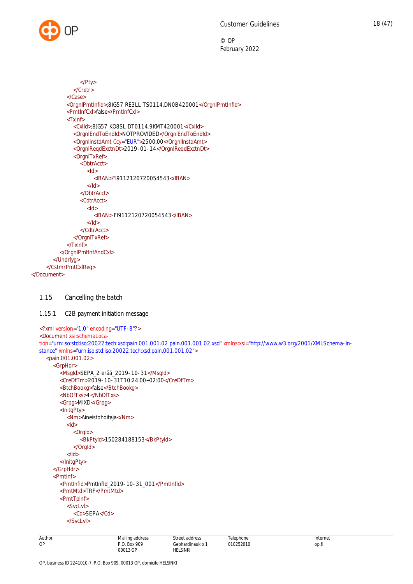

```
</Pty>
               </Cretr>
            </Case>
            <OrgnlPmtInfId>;8)G57 RE3LL TS0114.DN0B420001</OrgnlPmtInfId>
            <PmtInfCxl>false</PmtInfCxl>
            <TxInf>
               <CxlId>;8)G57 KO8SL DT0114.9KMT420001</CxlId>
               <OrgnlEndToEndId>NOTPROVIDED</OrgnlEndToEndId>
               <OrgnlInstdAmt Ccy="EUR">2500.00</OrgnlInstdAmt>
               <OrgnlReqdExctnDt>2019-01-14</OrgnlReqdExctnDt>
               <OrgnlTxRef>
                 <DbtrAcct>
                    <Id><IBAN>FI9112120720054543</IBAN>
                    </Id>
                 </DbtrAcct>
                 <CdtrAcct>
                    <Id><IBAN> FI9112120720054543</IBAN>
                    </Id></CdtrAcct>
               </OrgnlTxRef>
            </TxInf>
          </OrgnlPmtInfAndCxl>
       </Undrlyg>
     </CstmrPmtCxlReq>
</Document>
```
### <span id="page-18-0"></span>1.15 Cancelling the batch

#### <span id="page-18-1"></span>1.15.1 C2B payment initiation message

```
<?xml version="1.0" encoding="UTF-8"?>
<Document xsi:schemaLoca-
tion="urn:iso:std:iso:20022:tech:xsd:pain.001.001.02 pain.001.001.02.xsd" xmlns:xsi="http://www.w3.org/2001/XMLSchema-in-
stance" xmlns="urn:iso:std:iso:20022:tech:xsd:pain.001.001.02">
  <pain.001.001.02>
    <GrpHdr>
       <MsgId>SEPA_2 erää_2019-10-31</MsgId>
       <CreDtTm>2019-10-31T10:24:00+02:00</CreDtTm>
       <BtchBookg>false</BtchBookg>
       <NbOfTxs>4</NbOfTxs>
       <Grpg>MIXD</Grpg>
       <InitgPty>
          <Nm>Aineistohoitaja</Nm>
          <Id><OrgId>
               <BkPtyId>150284188153</BkPtyId>
            </OrgId>
          </Id>
       </InitgPty>
    </GrpHdr>
    <PmtInf>
       <PmtInfId>PmtInfId_2019-10-31_001</PmtInfId>
       <PmtMtd>TRF</PmtMtd>
       <PmtTpInf>
         <SvcLvl>
            <Cd>SEPA</Cd>
          </SvcLvl>
```

| Author | $\cdots$<br>Mailing address | Street address | ™ephone                 | Internet |
|--------|-----------------------------|----------------|-------------------------|----------|
| ОP     | : 909<br>Dow<br>BUX         | Gebhardinaukio | 010252010<br>52010<br>. | op.fi    |
|        | 00013 OP<br>.               | HELSINKI       |                         |          |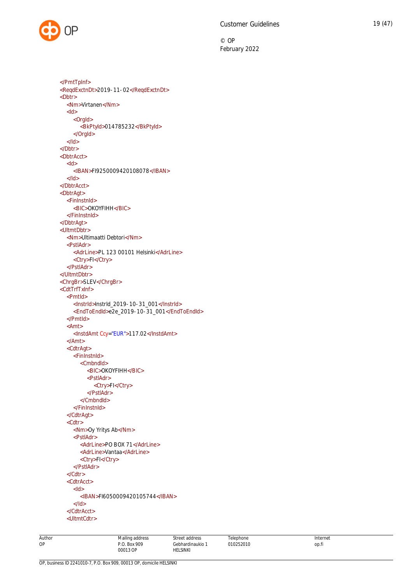</PmtTpInf> <ReqdExctnDt>2019-11-02</ReqdExctnDt> <Dbtr> <Nm>Virtanen</Nm> <Id> <OrgId> <BkPtyId>014785232</BkPtyId> </OrgId>  $<$ /Id> </Dbtr> <DbtrAcct>  $<$ ld $>$ <IBAN>FI9250009420108078</IBAN>  $<$ /Id $>$ </DbtrAcct> <DbtrAgt> <FinInstnId> <BIC>OKOYFIHH</BIC> </FinInstnId> </DbtrAgt> <UltmtDbtr> <Nm>Ultimaatti Debtori</Nm> <PstlAdr> <AdrLine>PL 123 00101 Helsinki</AdrLine> <Ctry>FI</Ctry> </PstlAdr> </UltmtDbtr> <ChrgBr>SLEV</ChrgBr> <CdtTrfTxInf> <PmtId> <InstrId>InstrId\_2019-10-31\_001</InstrId> <EndToEndId>e2e\_2019-10-31\_001</EndToEndId> </PmtId> <Amt> <InstdAmt Ccy="EUR">117.02</InstdAmt> </Amt> <CdtrAgt> <FinInstnId> <CmbndId> <BIC>OKOYFIHH</BIC> <PstlAdr> <Ctry>FI</Ctry> </PstlAdr> </CmbndId> </FinInstnId> </CdtrAgt> <Cdtr> <Nm>Oy Yritys Ab</Nm> <PstlAdr> <AdrLine>PO BOX 71</AdrLine> <AdrLine>Vantaa</AdrLine> <Ctry>FI</Ctry> </PstlAdr> </Cdtr> <CdtrAcct>  $<$ Id $>$ <IBAN>FI6050009420105744</IBAN>  $<$ /Id $>$ </CdtrAcct> <UltmtCdtr>

Author OP

Mailing address P.O. Box 909

Street address Gebhardinaukio 1 HELSINKI

**Telenhone** 010252010 Internet op.fi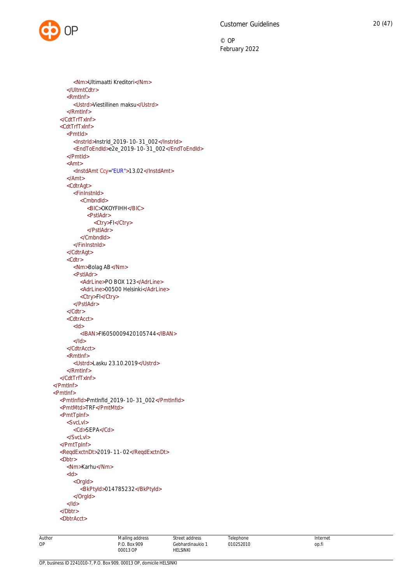```
<Nm>Ultimaatti Kreditori</Nm>
     </UltmtCdtr>
     <RmtInf>
       <Ustrd>Viestillinen maksu</Ustrd>
     </RmtInf>
  </CdtTrfTxInf>
  <CdtTrfTxInf>
     <PmtId>
       <InstrId>InstrId_2019-10-31_002</InstrId>
       <EndToEndId>e2e_2019-10-31_002</EndToEndId>
     </PmtId>
     <Amt>
       <InstdAmt Ccy="EUR">13.02</InstdAmt>
     </Amt>
     <CdtrAgt>
       <FinInstnId>
          <CmbndId>
            <BIC>OKOYFIHH</BIC>
            <PstlAdr>
               <Ctry>FI</Ctry>
            </PstlAdr>
          </CmbndId>
       </FinInstnId>
     </CdtrAgt>
     <Cdtr>
       <Nm>Bolag AB</Nm>
       <PstlAdr>
          <AdrLine>PO BOX 123</AdrLine>
          <AdrLine>00500 Helsinki</AdrLine>
          <Ctry>FI</Ctry>
       </PstlAdr>
     </Cdtr>
     <CdtrAcct>
       <Id><IBAN>FI6050009420105744</IBAN>
       </Id></CdtrAcct>
     <RmtInf>
       <Ustrd>Lasku 23.10.2019</Ustrd>
     </RmtInf>
  </CdtTrfTxInf>
</PmtInf>
<PmtInf>
  <PmtInfId>PmtInfId_2019-10-31_002</PmtInfId>
  <PmtMtd>TRF</PmtMtd>
  <PmtTpInf>
     <SvcLvl>
       <Cd>SEPA</Cd>
    </SvcLvl>
  </PmtTpInf>
  <ReqdExctnDt>2019-11-02</ReqdExctnDt>
  <Dbtr>
     <Nm>Karhu</Nm>
     <Id><OrgId>
          <BkPtyId>014785232</BkPtyId>
       </OrgId>
     </Id></Dbtr>
  <DbtrAcct>
```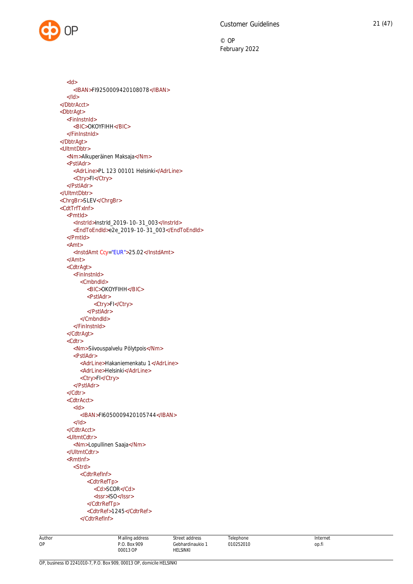<Id> <IBAN>FI9250009420108078</IBAN>  $<$ /Id $>$ </DbtrAcct> <DbtrAgt> <FinInstnId> <BIC>OKOYFIHH</BIC> </FinInstnId> </DbtrAgt> <UltmtDbtr> <Nm>Alkuperäinen Maksaja</Nm> <PstlAdr> <AdrLine>PL 123 00101 Helsinki</AdrLine> <Ctry>FI</Ctry> </PstlAdr> </UltmtDbtr> <ChrgBr>SLEV</ChrgBr> <CdtTrfTxInf> <PmtId> <InstrId>InstrId\_2019-10-31\_003</InstrId> <EndToEndId>e2e\_2019-10-31\_003</EndToEndId> </PmtId> <Amt> <InstdAmt Ccy="EUR">25.02</InstdAmt> </Amt> <CdtrAgt> <FinInstnId> <CmbndId> <BIC>OKOYFIHH</BIC> <PstlAdr> <Ctry>FI</Ctry> </PstlAdr> </CmbndId> </FinInstnId> </CdtrAgt> <Cdtr> <Nm>Siivouspalvelu Pölytpois</Nm> <PstlAdr> <AdrLine>Hakaniemenkatu 1</AdrLine> <AdrLine>Helsinki</AdrLine> <Ctry>FI</Ctry> </PstlAdr> </Cdtr> <CdtrAcct> <Id> <IBAN>FI6050009420105744</IBAN> </Id> </CdtrAcct> <UltmtCdtr> <Nm>Lopullinen Saaja</Nm> </UltmtCdtr> <RmtInf> <Strd> <CdtrRefInf> <CdtrRefTp> <Cd>SCOR</Cd> <Issr>ISO</Issr> </CdtrRefTp> <CdtrRef>1245</CdtrRef> </CdtrRefInf>

Mailing address P.O. Box 909 00013 OP Street address Gebhardinaukio 1 HELSINKI Telephone 010252010 Internet op.fi

Author OP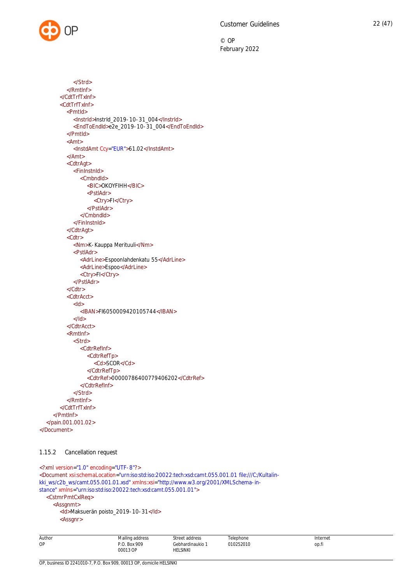

```
</Strd>
          </RmtInf>
       </CdtTrfTxInf>
       <CdtTrfTxInf>
          <PmtId>
            <InstrId>InstrId_2019-10-31_004</InstrId>
            <EndToEndId>e2e_2019-10-31_004</EndToEndId>
          </PmtId>
          <Amt>
            <InstdAmt Ccy="EUR">61.02</InstdAmt>
          </Amt>
          <CdtrAgt>
            <FinInstnId>
              <CmbndId>
                 <BIC>OKOYFIHH</BIC>
                 <PstlAdr>
                   <Ctry>FI</Ctry>
                 </PstlAdr>
               </CmbndId>
            </FinInstnId>
          </CdtrAgt>
          <Cdtr>
            <Nm>K-Kauppa Merituuli</Nm>
            <PstlAdr>
               <AdrLine>Espoonlahdenkatu 55</AdrLine>
               <AdrLine>Espoo</AdrLine>
               <Ctry>FI</Ctry>
            </PstlAdr>
          </Cdtr>
          <CdtrAcct>
            <Id><IBAN>FI6050009420105744</IBAN>
            </Id></CdtrAcct>
          <RmtInf>
            <Strd>
               <CdtrRefInf>
                 <CdtrRefTp>
                    <Cd>SCOR</Cd>
                 </CdtrRefTp>
                 <CdtrRef>00000786400779406202</CdtrRef>
               </CdtrRefInf>
            </Strd>
         </RmtInf>
       </CdtTrfTxInf>
    </PmtInf>
  </pain.001.001.02>
</Document>
```
# <span id="page-22-0"></span>1.15.2 Cancellation request

```
<?xml version="1.0" encoding="UTF-8"?>
<Document xsi:schemaLocation="urn:iso:std:iso:20022:tech:xsd:camt.055.001.01 file:///C:/Kultalin-
kki_ws/c2b_ws/camt.055.001.01.xsd" xmlns:xsi="http://www.w3.org/2001/XMLSchema-in-
stance" xmlns="urn:iso:std:iso:20022:tech:xsd:camt.055.001.01">
  <CstmrPmtCxlReq>
     <Assgnmt>
       <Id>Maksuerän poisto_2019-10-31</Id>
       <Assgnr>
```

| Author | $\cdots$<br>Mailing address      | Street address      | Telephone      | Internet                                                                       |
|--------|----------------------------------|---------------------|----------------|--------------------------------------------------------------------------------|
| OP     | 909<br>$D^{\circ}$<br><b>Box</b> | Gebhardinaukio<br>. | 010252010<br>. | the contract of the contract of<br>op.h<br>and the contract of the contract of |
|        | 00013 OP<br>.                    | <b>HELSINKI</b>     |                |                                                                                |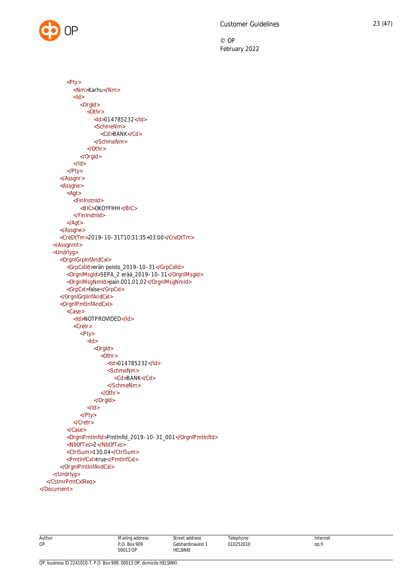

 $<$ Id $>$ <OrgId>  $\overline{\leq}$ Othr> <Id>014785232</Id> <SchmeNm> <Cd>BANK</Cd> </SchmeNm> </Othr> </OrgId>  $<$ /Id> </Pty> </Assgnr> <Assgne>  $<$ Agt $>$ <FinInstnId> <BIC>OKOYFIHH</BIC> </FinInstnId> </Agt> </Assgne> <CreDtTm>2019-10-31T10:31:35+03:00</CreDtTm> </Assgnmt> <Undrlyg> <OrgnlGrpInfAndCxl> <GrpCxlId>erän poisto\_2019-10-31</GrpCxlId> <OrgnlMsgId>SEPA\_2 erää\_2019-10-31</OrgnlMsgId> <OrgnlMsgNmId>pain.001.01.02</OrgnlMsgNmId> <GrpCxl>false</GrpCxl> </OrgnlGrpInfAndCxl> <OrgnlPmtInfAndCxl> <Case> <Id>NOTPROVIDED</Id> <Cretr> <Pty> <Id> <OrgId> <Othr> <Id>014785232</Id> <SchmeNm> <Cd>BANK</Cd> </SchmeNm> </Othr> </OrgId>  $<$ /Id $>$ </Pty> </Cretr> </Case> <OrgnlPmtInfId>PmtInfId\_2019-10-31\_001</OrgnlPmtInfId> <NbOfTxs>2</NbOfTxs> <CtrlSum>130.04</CtrlSum> <PmtInfCxl>true</PmtInfCxl> </OrgnlPmtInfAndCxl> </Undrlyg> </CstmrPmtCxlReq> </Document>

<Pty>

<Nm>Karhu</Nm>

| AHT |
|-----|
|     |

**Telenhone** 010252010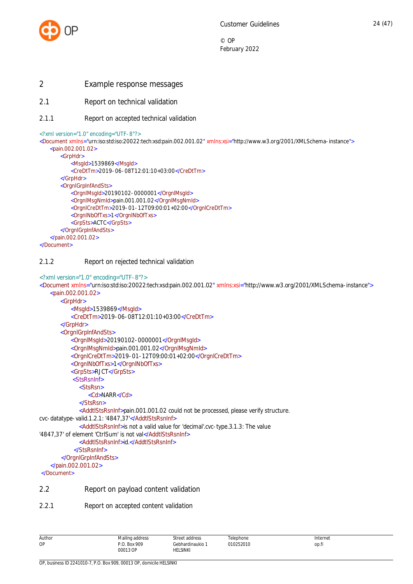

- <span id="page-24-0"></span>2 Example response messages
- <span id="page-24-1"></span>2.1 Report on technical validation
- <span id="page-24-2"></span>2.1.1 Report on accepted technical validation

```
<?xml version="1.0" encoding="UTF-8"?>
```

```
<Document xmlns="urn:iso:std:iso:20022:tech:xsd:pain.002.001.02" xmlns:xsi="http://www.w3.org/2001/XMLSchema-instance">
   <pain.002.001.02>
       <GrpHdr>
           <MsgId>1539869</MsgId>
           <CreDtTm>2019-06-08T12:01:10+03:00</CreDtTm>
       </GrpHdr>
       <OrgnlGrpInfAndSts>
           <OrgnlMsgId>20190102-0000001</OrgnlMsgId>
           <OrgnlMsgNmId>pain.001.001.02</OrgnlMsgNmId>
           <OrgnlCreDtTm>2019-01-12T09:00:01+02:00</OrgnlCreDtTm>
           <OrgnlNbOfTxs>1</OrgnlNbOfTxs>
           <GrpSts>ACTC</GrpSts>
       </OrgnlGrpInfAndSts>
   </pain.002.001.02>
</Document>
```
# <span id="page-24-3"></span>2.1.2 Report on rejected technical validation

```
<?xml version="1.0" encoding="UTF-8"?>
<Document xmlns="urn:iso:std:iso:20022:tech:xsd:pain.002.001.02" xmlns:xsi="http://www.w3.org/2001/XMLSchema-instance">
   <pain.002.001.02>
       <GrpHdr>
           <MsgId>1539869</MsgId>
           <CreDtTm>2019-06-08T12:01:10+03:00</CreDtTm>
       </GrpHdr>
       <OrgnlGrpInfAndSts>
           <OrgnlMsgId>20190102-0000001</OrgnlMsgId>
           <OrgnlMsgNmId>pain.001.001.02</OrgnlMsgNmId>
           <OrgnlCreDtTm>2019-01-12T09:00:01+02:00</OrgnlCreDtTm>
           <OrgnlNbOfTxs>1</OrgnlNbOfTxs>
           <GrpSts>RJCT</GrpSts>
            <StsRsnInf>
               <StsRsn>
                  <Cd>NARR</Cd>
               </StsRsn>
               <AddtlStsRsnInf>pain.001.001.02 could not be processed, please verify structure.
cvc-datatype-valid.1.2.1: '4847,37'</AddtlStsRsnInf>
               <AddtlStsRsnInf>is not a valid value for 'decimal'.cvc-type.3.1.3: The value
'4847,37' of element 'CtrlSum' is not val</AddtlStsRsnInf>
               <AddtlStsRsnInf>id.</AddtlStsRsnInf>
             </StsRsnInf>
        </OrgnlGrpInfAndSts>
     </pain.002.001.02>
 </Document>
2.2 Report on payload content validation
```
<span id="page-24-5"></span><span id="page-24-4"></span>2.2.1 Report on accepted content validation

| Author | Mailing address          | Street address               | Telephone | Internet |
|--------|--------------------------|------------------------------|-----------|----------|
| OP     | P.O. Box 909<br>00013 OP | Gebhardinaukio 1<br>HELSINKI | 010252010 | op.fi    |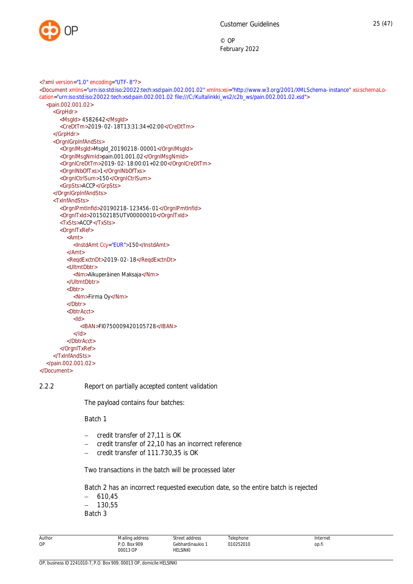

<?xml version="1.0" encoding="UTF-8"?> <Document xmlns="urn:iso:std:iso:20022:tech:xsd:pain.002.001.02" xmlns:xsi="http://www.w3.org/2001/XMLSchema-instance" xsi:schemaLocation="urn:iso:std:iso:20022:tech:xsd:pain.002.001.02 file:///C:/Kultalinkki\_ws2/c2b\_ws/pain.002.001.02.xsd"> <pain.002.001.02> <GrpHdr> <MsgId> 4582642</MsgId> <CreDtTm>2019-02-18T13:31:34+02:00</CreDtTm> </GrpHdr> <OrgnlGrpInfAndSts> <OrgnlMsgId>MsgId\_20190218-00001</OrgnlMsgId> <OrgnlMsgNmId>pain.001.001.02</OrgnlMsgNmId> <OrgnlCreDtTm>2019-02-18:00:01+02:00</OrgnlCreDtTm> <OrgnlNbOfTxs>1</OrgnlNbOfTxs> <OrgnlCtrlSum>150</OrgnlCtrlSum> <GrpSts>ACCP</GrpSts> </OrgnlGrpInfAndSts> <TxInfAndSts> <OrgnlPmtInfId>20190218-123456-01</OrgnlPmtInfId> <OrgnlTxId>201502185UTV00000010</OrgnlTxId> <TxSts>ACCP</TxSts> <OrgnlTxRef> <Amt> <InstdAmt Ccy="EUR">150</InstdAmt> </Amt> <ReqdExctnDt>2019-02-18</ReqdExctnDt> <UltmtDbtr> <Nm>Alkuperäinen Maksaja</Nm> </UltmtDbtr> <Dbtr> <Nm>Firma Oy</Nm> </Dbtr> <DbtrAcct> <Id> <IBAN>FI0750009420105728</IBAN>  $>$ /Id $\sim$ </DbtrAcct> </OrgnlTxRef> </TxInfAndSts> </pain.002.001.02> </Document>

2.2.2 Report on partially accepted content validation

<span id="page-25-0"></span>The payload contains four batches:

Batch 1

- credit transfer of 27,11 is OK
- credit transfer of 22,10 has an incorrect reference
- credit transfer of 111.730,35 is OK

Two transactions in the batch will be processed later

Batch 2 has an incorrect requested execution date, so the entire batch is rejected

 $-610,45$ 

 $- 130,55$ 

Batch 3

| Author | Mailing address          | Street address                      | Telephone | Internet |
|--------|--------------------------|-------------------------------------|-----------|----------|
| OP     | P.O. Box 909<br>00013 OP | Gebhardinaukio 1<br><b>HELSINKI</b> | 010252010 | op.fi    |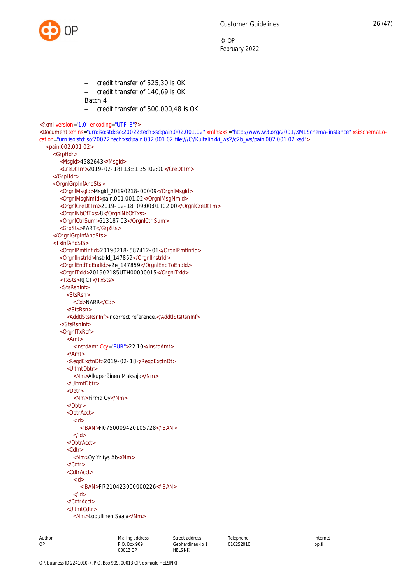

```
 credit transfer of 525,30 is OK
                     credit transfer of 140,69 is OK
                Batch 4
                - credit transfer of 500.000,48 is OK
<?xml version="1.0" encoding="UTF-8"?>
<Document xmlns="urn:iso:std:iso:20022:tech:xsd:pain.002.001.02" xmlns:xsi="http://www.w3.org/2001/XMLSchema-instance" xsi:schemaLo-
cation="urn:iso:std:iso:20022:tech:xsd:pain.002.001.02 file:///C:/Kultalinkki_ws2/c2b_ws/pain.002.001.02.xsd">
  <pain.002.001.02>
    <GrpHdr>
       <MsgId>4582643</MsgId>
       <CreDtTm>2019-02-18T13:31:35+02:00</CreDtTm>
    </GrpHdr>
     <OrgnlGrpInfAndSts>
       <OrgnlMsgId>MsgId_20190218-00009</OrgnlMsgId>
       <OrgnlMsgNmId>pain.001.001.02</OrgnlMsgNmId>
       <OrgnlCreDtTm>2019-02-18T09:00:01+02:00</OrgnlCreDtTm>
       <OrgnlNbOfTxs>8</OrgnlNbOfTxs>
       <OrgnlCtrlSum>613187.03</OrgnlCtrlSum>
       <GrpSts>PART</GrpSts>
    </OrgnlGrpInfAndSts>
    <TxInfAndSts>
       <OrgnlPmtInfId>20190218-587412-01</OrgnlPmtInfId>
       <OrgnlInstrId>InstrId_147859</OrgnlInstrId>
       <OrgnlEndToEndId>e2e_147859</OrgnlEndToEndId>
       <OrgnlTxId>201902185UTH00000015</OrgnlTxId>
       <TxSts>RJCT</TxSts>
       <StsRsnInf>
          <StsRsn>
            <Cd>NARR</Cd>
          </StsRsn>
          <AddtlStsRsnInf>Incorrect reference.</AddtlStsRsnInf>
       </StsRsnInf>
       <OrgnlTxRef>
          <Amt>
            <InstdAmt Ccy="EUR">22.10</InstdAmt>
          </Amt>
          <ReqdExctnDt>2019-02-18</ReqdExctnDt>
          <UltmtDbtr>
            <Nm>Alkuperäinen Maksaja</Nm>
          </UltmtDbtr>
          <Dbtr>
            <Nm>Firma Oy</Nm>
          </Dbtr>
          <DbtrAcct>
            <Id>
              <IBAN>FI0750009420105728</IBAN>
            </Id>
          </DbtrAcct>
          <Cdtr>
            <Nm>Oy Yritys Ab</Nm>
          </Cdtr>
          <CdtrAcct>
            <Id>
              <IBAN>FI7210423000000226</IBAN>
            </Id></CdtrAcct>
          <UltmtCdtr>
            <Nm>Lopullinen Saaja</Nm>
```
Author OP

Telephone 010252010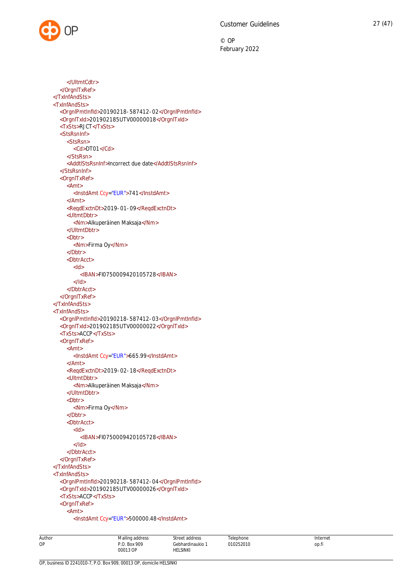```
</UltmtCdtr>
  </OrgnlTxRef>
</TxInfAndSts>
<TxInfAndSts>
  <OrgnlPmtInfId>20190218-587412-02</OrgnlPmtInfId>
  <OrgnlTxId>201902185UTV00000018</OrgnlTxId>
  <TxSts>RJCT</TxSts>
  <StsRsnInf>
     <StsRsn>
       <Cd>DT01</Cd>
     </StsRsn>
     <AddtlStsRsnInf>Incorrect due date</AddtlStsRsnInf>
  </StsRsnInf>
  <OrgnlTxRef>
     <Amt>
       <InstdAmt Ccy="EUR">741</InstdAmt>
     </Amt>
     <ReqdExctnDt>2019-01-09</ReqdExctnDt>
     <UltmtDbtr>
       <Nm>Alkuperäinen Maksaja</Nm>
     </UltmtDbtr>
     <Dbtr>
       <Nm>Firma Oy</Nm>
     </Dbtr>
     <DbtrAcct>
       <Id><IBAN>FI0750009420105728</IBAN>
       </Id></DbtrAcct>
  </OrgnlTxRef>
</TxInfAndSts>
<TxInfAndSts>
  <OrgnlPmtInfId>20190218-587412-03</OrgnlPmtInfId>
  <OrgnlTxId>201902185UTV00000022</OrgnlTxId>
  <TxSts>ACCP</TxSts>
  <OrgnlTxRef>
     <Amt>
       <InstdAmt Ccy="EUR">665.99</InstdAmt>
     </Amt>
     <ReqdExctnDt>2019-02-18</ReqdExctnDt>
     <UltmtDbtr>
       <Nm>Alkuperäinen Maksaja</Nm>
     </UltmtDbtr>
     <Dbtr>
       <Nm>Firma Oy</Nm>
     </Dbtr>
     <DbtrAcct>
       <Id><IBAN>FI0750009420105728</IBAN>
       </Id></DbtrAcct>
  </OrgnlTxRef>
</TxInfAndSts>
<TxInfAndSts>
  <OrgnlPmtInfId>20190218-587412-04</OrgnlPmtInfId>
  <OrgnlTxId>201902185UTV00000026</OrgnlTxId>
  <TxSts>ACCP</TxSts>
  <OrgnlTxRef>
     <Amt>
       <InstdAmt Ccy="EUR">500000.48</InstdAmt>
```

| Author | Mailing address           | Street address   | Telephone | Internet |
|--------|---------------------------|------------------|-----------|----------|
| OP     | Box 909<br>D <sub>0</sub> | Gebhardinaukio 1 | 010252010 | op.fi    |
|        | 00013 OP                  | HELSINKI         |           |          |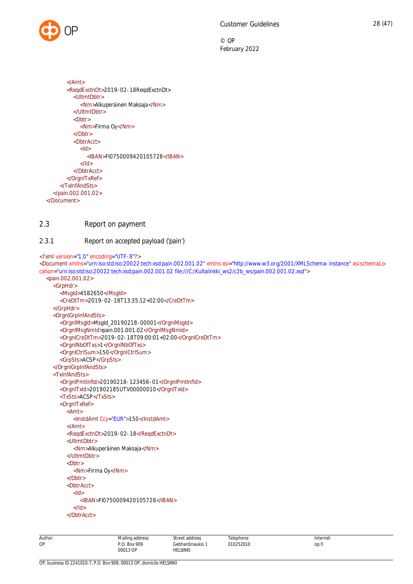

```
</Amt>
       <ReqdExctnDt>2019-02-18ReqdExctnDt>
         <UltmtDbtr>
            <Nm>Alkuperäinen Maksaja</Nm>
         </UltmtDbtr>
         <Dbtr>
            <Nm>Firma Oy</Nm>
         </Dbtr>
         <DbtrAcct>
            <Id>
              <IBAN>FI0750009420105728</IBAN>
            </Id></DbtrAcct>
       </OrgnlTxRef>
    </TxInfAndSts>
  </pain.002.001.02>
</Document>
```
# <span id="page-28-0"></span>2.3 Report on payment

# <span id="page-28-1"></span>2.3.1 Report on accepted payload ('pain')

<?xml version="1.0" encoding="UTF-8"?>

```
<Document xmlns="urn:iso:std:iso:20022:tech:xsd:pain.002.001.02" xmlns:xsi="http://www.w3.org/2001/XMLSchema-instance" xsi:schemaLo-
cation="urn:iso:std:iso:20022:tech:xsd:pain.002.001.02 file:///C:/Kultalinkki_ws2/c2b_ws/pain.002.001.02.xsd">
  <pain.002.001.02>
```

```
<GrpHdr>
  <MsgId>4582650</MsgId>
  <CreDtTm>2019-02-18T13:35:12+02:00</CreDtTm>
</GrpHdr>
<OrgnlGrpInfAndSts>
  <OrgnlMsgId>MsgId_20190218-00001</OrgnlMsgId>
  <OrgnlMsgNmId>pain.001.001.02</OrgnlMsgNmId>
  <OrgnlCreDtTm>2019-02-18T09:00:01+02:00</OrgnlCreDtTm>
  <OrgnlNbOfTxs>1</OrgnlNbOfTxs>
  <OrgnlCtrlSum>150</OrgnlCtrlSum>
  <GrpSts>ACSP</GrpSts>
</OrgnlGrpInfAndSts>
<TxInfAndSts>
  <OrgnlPmtInfId>20190218-123456-01</OrgnlPmtInfId>
  <OrgnlTxId>201902185UTV00000010</OrgnlTxId>
  <TxSts>ACSP</TxSts>
  <OrgnlTxRef>
    <Amt>
       <InstdAmt Ccy="EUR">150</InstdAmt>
    </Amt>
    <ReqdExctnDt>2019-02-18</ReqdExctnDt>
    <UltmtDbtr>
       <Nm>Alkuperäinen Maksaja</Nm>
    </UltmtDbtr>
    <Dbtr>
       <Nm>Firma Oy</Nm>
     </Dbtr>
    <DbtrAcct>
       <Id><IBAN>FI0750009420105728</IBAN>
       </Id></DbtrAcct>
```
OP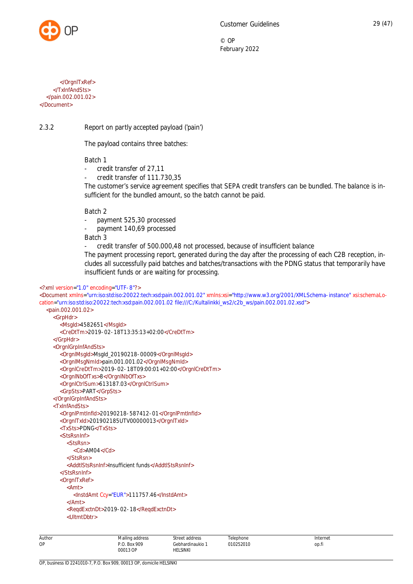

© OP

</OrgnlTxRef> </TxInfAndSts> </pain.002.001.02> </Document>

2.3.2 Report on partly accepted payload ('pain')

<span id="page-29-0"></span>The payload contains three batches:

Batch 1

- credit transfer of 27,11
- credit transfer of 111.730.35

The customer's service agreement specifies that SEPA credit transfers can be bundled. The balance is insufficient for the bundled amount, so the batch cannot be paid.

Batch 2

- payment 525,30 processed
- payment 140,69 processed

Batch 3

- credit transfer of 500.000,48 not processed, because of insufficient balance

The payment processing report, generated during the day after the processing of each C2B reception, includes all successfully paid batches and batches/transactions with the PDNG status that temporarily have insufficient funds or are waiting for processing.

# <?xml version="1.0" encoding="UTF-8"?>

| <document th="" xmlns="urn:iso:std:iso:20022:tech:xsd:pain.002.001.02" xmlns:xsi="http://www.w3.org/2001/XMLSchema-instance" xsi:schemalo-<=""></document> |
|------------------------------------------------------------------------------------------------------------------------------------------------------------|
| cation="urn:iso:std:iso:20022:tech:xsd:pain.002.001.02 file:///C:/Kultalinkki ws2/c2b ws/pain.002.001.02.xsd">                                             |
| <pain.002.001.02></pain.002.001.02>                                                                                                                        |
| <grphdr></grphdr>                                                                                                                                          |
| <msgld>4582651</msgld>                                                                                                                                     |
| <credttm>2019-02-18T13:35:13+02:00</credttm>                                                                                                               |
|                                                                                                                                                            |
| <orgnlgrpinfandsts></orgnlgrpinfandsts>                                                                                                                    |
| <orgnlmsgld>Msgld_20190218-00009</orgnlmsgld>                                                                                                              |
| <orgnlmsgnmld>pain.001.001.02</orgnlmsgnmld>                                                                                                               |
| <0rgnlCreDtTm>2019-02-18T09:00:01+02:00 0rgnlCreDtTm                                                                                                       |
| <orgninboftxs>8</orgninboftxs>                                                                                                                             |
| <orgnlctrlsum>613187.03</orgnlctrlsum>                                                                                                                     |
| <grpsts>PART</grpsts>                                                                                                                                      |
|                                                                                                                                                            |
| <txinfandsts></txinfandsts>                                                                                                                                |
| <0rgnlPmtlnfld>20190218-587412-01 0rgnlPmtlnfld                                                                                                            |
| <0rgnlTxld>201902185UTV00000013 0rgnlTxld                                                                                                                  |
| <txsts>PDNG</txsts>                                                                                                                                        |
| <stsrsninf></stsrsninf>                                                                                                                                    |
| <stsrsn></stsrsn>                                                                                                                                          |
| $<$ Cd>AM04 $<$ /Cd>                                                                                                                                       |
| $<$ /StsRsn>                                                                                                                                               |
| <addtlstsrsninf>Insufficient funds</addtlstsrsninf>                                                                                                        |
| $<$ /StsRsnInf>                                                                                                                                            |
| <orgnitxref></orgnitxref>                                                                                                                                  |
| $<$ Amt $>$                                                                                                                                                |
| <lnstdamt ccy="EUR">111757.46</lnstdamt>                                                                                                                   |
| $<$ /Amt $>$                                                                                                                                               |
| <regdexctndt>2019-02-18</regdexctndt>                                                                                                                      |
| <ultmtdbtr></ultmtdbtr>                                                                                                                                    |
|                                                                                                                                                            |

| Author | Mailing address | Street address      | Telephone      | Internet     |
|--------|-----------------|---------------------|----------------|--------------|
| OP     | P.O. Box 909    | Gebhardinaukio<br>. | 010252010<br>. | ___<br>op.fi |
|        | 00013 OP<br>.   | HELSINKI            |                |              |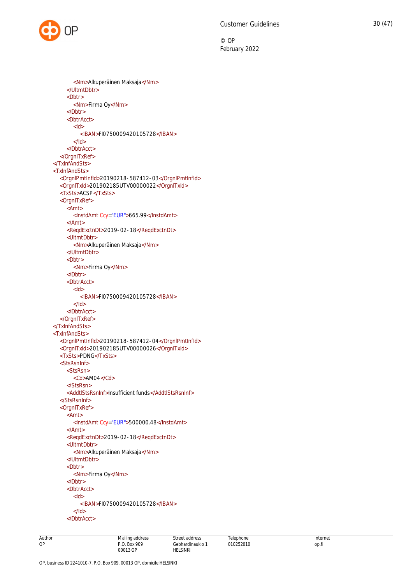<Nm>Alkuperäinen Maksaja</Nm> </UltmtDbtr> <Dbtr> <Nm>Firma Oy</Nm> </Dbtr> <DbtrAcct> <Id> <IBAN>FI0750009420105728</IBAN>  $<$ /Id $>$ </DbtrAcct> </OrgnlTxRef> </TxInfAndSts> <TxInfAndSts> <OrgnlPmtInfId>20190218-587412-03</OrgnlPmtInfId> <OrgnlTxId>201902185UTV00000022</OrgnlTxId> <TxSts>ACSP</TxSts> <OrgnlTxRef> <Amt> <InstdAmt Ccy="EUR">665.99</InstdAmt> </Amt> <ReqdExctnDt>2019-02-18</ReqdExctnDt> <UltmtDbtr> <Nm>Alkuperäinen Maksaja</Nm> </UltmtDbtr> <Dbtr> <Nm>Firma Oy</Nm> </Dbtr> <DbtrAcct>  $<$ Id $>$ <IBAN>FI0750009420105728</IBAN>  $<$ /Id $>$ </DbtrAcct> </OrgnlTxRef> </TxInfAndSts> <TxInfAndSts> <OrgnlPmtInfId>20190218-587412-04</OrgnlPmtInfId> <OrgnlTxId>201902185UTV00000026</OrgnlTxId> <TxSts>PDNG</TxSts> <StsRsnInf> <StsRsn> <Cd>AM04</Cd> </StsRsn> <AddtlStsRsnInf>Insufficient funds</AddtlStsRsnInf> </StsRsnInf> <OrgnlTxRef> <Amt> <InstdAmt Ccy="EUR">500000.48</InstdAmt> </Amt> <ReqdExctnDt>2019-02-18</ReqdExctnDt> <UltmtDbtr> <Nm>Alkuperäinen Maksaja</Nm> </UltmtDbtr> <Dbtr> <Nm>Firma Oy</Nm> </Dbtr> <DbtrAcct>  $<$ Id $>$ <IBAN>FI0750009420105728</IBAN>  $<$ /Id $>$ </DbtrAcct>

OP, business ID 2241010-7, P.O. Box 909, 00013 OP, domicile HELSINKI

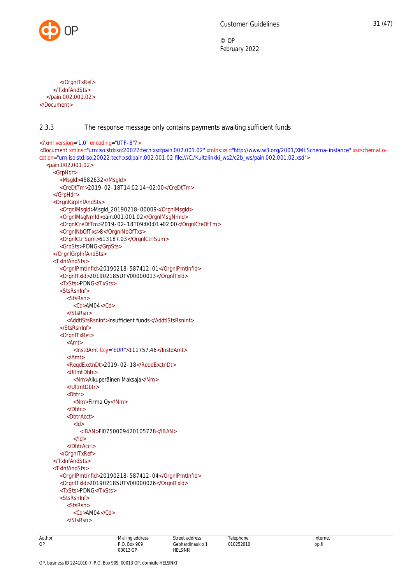

</OrgnlTxRef> </TxInfAndSts> </pain.002.001.02> </Document>

# <span id="page-31-0"></span>2.3.3 The response message only contains payments awaiting sufficient funds

```
<?xml version="1.0" encoding="UTF-8"?>
<Document xmlns="urn:iso:std:iso:20022:tech:xsd:pain.002.001.02" xmlns:xsi="http://www.w3.org/2001/XMLSchema-instance" xsi:schemaLo-
cation="urn:iso:std:iso:20022:tech:xsd:pain.002.001.02 file:///C:/Kultalinkki_ws2/c2b_ws/pain.002.001.02.xsd">
  <pain.002.001.02>
    <GrpHdr>
       <MsgId>4582632</MsgId>
       <CreDtTm>2019-02-18T14:02:14+02:00</CreDtTm>
    </GrpHdr>
     <OrgnlGrpInfAndSts>
       <OrgnlMsgId>MsgId_20190218-00009</OrgnlMsgId>
       <OrgnlMsgNmId>pain.001.001.02</OrgnlMsgNmId>
       <OrgnlCreDtTm>2019-02-18T09:00:01+02:00</OrgnlCreDtTm>
       <OrgnlNbOfTxs>8</OrgnlNbOfTxs>
       <OrgnlCtrlSum>613187.03</OrgnlCtrlSum>
       <GrpSts>PDNG</GrpSts>
    </OrgnlGrpInfAndSts>
     <TxInfAndSts>
       <OrgnlPmtInfId>20190218-587412-01</OrgnlPmtInfId>
       <OrgnlTxId>201902185UTV00000013</OrgnlTxId>
       <TxSts>PDNG</TxSts>
       <StsRsnInf>
          <StsRsn>
            <Cd>AM04</Cd>
          </StsRsn>
          <AddtlStsRsnInf>Insufficient funds</AddtlStsRsnInf>
       </StsRsnInf>
       <OrgnlTxRef>
          <Amt>
            <InstdAmt Ccy="EUR">111757.46</InstdAmt>
          </Amt>
          <ReqdExctnDt>2019-02-18</ReqdExctnDt>
          <UltmtDbtr>
            <Nm>Alkuperäinen Maksaja</Nm>
          </UltmtDbtr>
          <Dbtr>
            <Nm>Firma Oy</Nm>
          </Dbtr>
          <DbtrAcct>
            <Id><IBAN>FI0750009420105728</IBAN>
            >/Id\sim</DbtrAcct>
       </OrgnlTxRef>
    </TxInfAndSts>
    <TxInfAndSts>
       <OrgnlPmtInfId>20190218-587412-04</OrgnlPmtInfId>
       <OrgnlTxId>201902185UTV00000026</OrgnlTxId>
       <TxSts>PDNG</TxSts>
       <StsRsnInf>
          <StsRsn>
            <Cd>AM04</Cd>
          </StsRsn>
```
Mailing address P.O. Box 909

Street address Gebhardinaukio 1 HELSINKI

Telephone 010252010

Author OP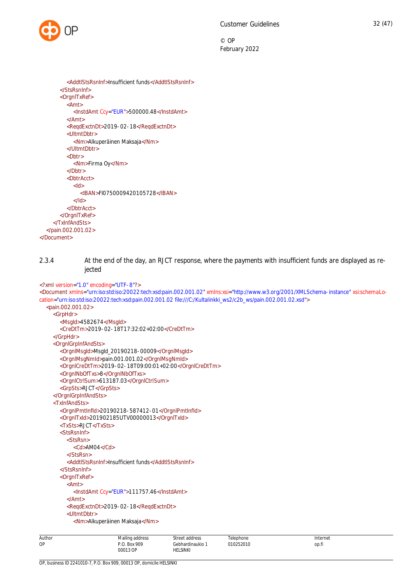

<AddtlStsRsnInf>Insufficient funds</AddtlStsRsnInf> </StsRsnInf> <OrgnlTxRef> <Amt> <InstdAmt Ccy="EUR">500000.48</InstdAmt> </Amt> <ReqdExctnDt>2019-02-18</ReqdExctnDt> <UltmtDbtr> <Nm>Alkuperäinen Maksaja</Nm> </UltmtDbtr> <Dhtr> <Nm>Firma Oy</Nm> </Dbtr> <DbtrAcct> <Id> <IBAN>FI0750009420105728</IBAN>  $<$ /Id> </DbtrAcct> </OrgnlTxRef> </TxInfAndSts> </pain.002.001.02> </Document>

<span id="page-32-0"></span>2.3.4 At the end of the day, an RJCT response, where the payments with insufficient funds are displayed as rejected

```
<?xml version="1.0" encoding="UTF-8"?>
<Document xmlns="urn:iso:std:iso:20022:tech:xsd:pain.002.001.02" xmlns:xsi="http://www.w3.org/2001/XMLSchema-instance" xsi:schemaLo-
cation="urn:iso:std:iso:20022:tech:xsd:pain.002.001.02 file:///C:/Kultalinkki_ws2/c2b_ws/pain.002.001.02.xsd">
  <pain.002.001.02>
    <GrpHdr>
       <MsgId>4582674</MsgId>
       <CreDtTm>2019-02-18T17:32:02+02:00</CreDtTm>
     </GrpHdr>
    <OrgnlGrpInfAndSts>
       <OrgnlMsgId>MsgId_20190218-00009</OrgnlMsgId>
       <OrgnlMsgNmId>pain.001.001.02</OrgnlMsgNmId>
       <OrgnlCreDtTm>2019-02-18T09:00:01+02:00</OrgnlCreDtTm>
       <OrgnlNbOfTxs>8</OrgnlNbOfTxs>
       <OrgnlCtrlSum>613187.03</OrgnlCtrlSum>
       <GrpSts>RJCT</GrpSts>
    </OrgnlGrpInfAndSts>
    <TxInfAndSts>
       <OrgnlPmtInfId>20190218-587412-01</OrgnlPmtInfId>
       <OrgnlTxId>201902185UTV00000013</OrgnlTxId>
       <TxSts>RJCT</TxSts>
       <StsRsnInf>
          <StsRsn>
            <Cd>AM04</Cd>
          </StsRsn>
          <AddtlStsRsnInf>Insufficient funds</AddtlStsRsnInf>
       </StsRsnInf>
       <OrgnlTxRef>
          <Amt>
            <InstdAmt Ccy="EUR">111757.46</InstdAmt>
          </Amt>
          <ReqdExctnDt>2019-02-18</ReqdExctnDt>
          <UltmtDbtr>
            <Nm>Alkuperäinen Maksaja</Nm>
```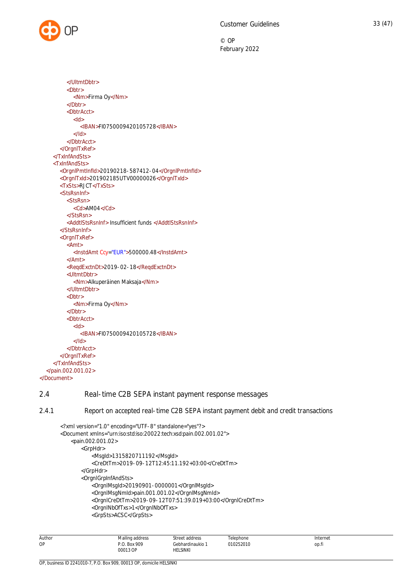```
</UltmtDbtr>
          <Dbtr>
            <Nm>Firma Oy</Nm>
         </Dbtr>
         <DbtrAcct>
            <Id>
              <IBAN>FI0750009420105728</IBAN>
            </Id></DbtrAcct>
       </OrgnlTxRef>
    </TxInfAndSts>
    <TxInfAndSts>
       <OrgnlPmtInfId>20190218-587412-04</OrgnlPmtInfId>
       <OrgnlTxId>201902185UTV00000026</OrgnlTxId>
       <TxSts>RJCT</TxSts>
       <StsRsnInf>
         <StsRsn>
            <Cd>AM04</Cd>
         </StsRsn>
         <AddtlStsRsnInf> Insufficient funds </AddtlStsRsnInf>
       </StsRsnInf>
       <OrgnlTxRef>
         <Amt>
            <InstdAmt Ccy="EUR">500000.48</InstdAmt>
         </Amt>
         <ReqdExctnDt>2019-02-18</ReqdExctnDt>
         <UltmtDbtr>
            <Nm>Alkuperäinen Maksaja</Nm>
         </UltmtDbtr>
         <Dbtr>
            <Nm>Firma Oy</Nm>
         </Dbtr>
         <DbtrAcct>
            <Id><IBAN>FI0750009420105728</IBAN>
            </Id></DbtrAcct>
       </OrgnlTxRef>
    </TxInfAndSts>
  </pain.002.001.02>
</Document>
```
# 2.4 Real-time C2B SEPA instant payment response messages

2.4.1 Report on accepted real-time C2B SEPA instant payment debit and credit transactions

```
<?xml version="1.0" encoding="UTF-8" standalone="yes"?>
<Document xmlns="urn:iso:std:iso:20022:tech:xsd:pain.002.001.02">
    <pain.002.001.02>
        <GrpHdr>
            <MsgId>1315820711192</MsgId>
            <CreDtTm>2019-09-12T12:45:11.192+03:00</CreDtTm>
        </GrpHdr>
        <OrgnlGrpInfAndSts>
            <OrgnlMsgId>20190901-0000001</OrgnlMsgId>
            <OrgnlMsgNmId>pain.001.001.02</OrgnlMsgNmId>
            <OrgnlCreDtTm>2019-09-12T07:51:39.019+03:00</OrgnlCreDtTm>
            <OrgnlNbOfTxs>1</OrgnlNbOfTxs>
            <GrpSts>ACSC</GrpSts>
```

| Author<br>. | Mailing address<br>the contract of the contract of the contract of<br>. | Street.<br>∵addr∆cc<br>.<br>.                                                                  | elephone       | nternet      |
|-------------|-------------------------------------------------------------------------|------------------------------------------------------------------------------------------------|----------------|--------------|
| OP          | 909<br>R∩x<br>OF<br>00013<br>.                                          | .<br>Gebhardinaukio<br>.<br><b>HELSINKI</b><br>the contract of the contract of the contract of | 010252010<br>. | ___<br>op.fi |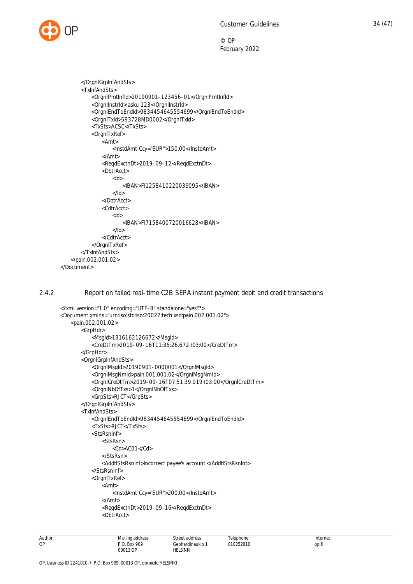

```
 </OrgnlGrpInfAndSts>
        <TxInfAndSts>
            <OrgnlPmtInfId>20190901-123456-01</OrgnlPmtInfId>
            <OrgnlInstrId>lasku 123</OrgnlInstrId>
            <OrgnlEndToEndId>9834454645554699</OrgnlEndToEndId>
            <OrgnlTxId>593728MD0002</OrgnlTxId>
            <TxSts>ACSC</TxSts>
            <OrgnlTxRef>
                <Amt>
                    <InstdAmt Ccy="EUR">150.00</InstdAmt>
                </Amt>
                <ReqdExctnDt>2019-09-12</ReqdExctnDt>
                <DbtrAcct>
                    <Id>
                        <IBAN>FI1258410220039095</IBAN>
                   </Id>
                </DbtrAcct>
                <CdtrAcct>
                    <Id>
                        <IBAN>FI7158400720016628</IBAN>
                   </Id> </CdtrAcct>
            </OrgnlTxRef>
        </TxInfAndSts>
    </pain.002.001.02>
</Document>
```
2.4.2 Report on failed real-time C2B SEPA instant payment debit and credit transactions

```
<?xml version="1.0" encoding="UTF-8" standalone="yes"?>
<Document xmlns="urn:iso:std:iso:20022:tech:xsd:pain.002.001.02">
    <pain.002.001.02>
        <GrpHdr>
            <MsgId>1316162126672</MsgId>
            <CreDtTm>2019-09-16T11:35:26.672+03:00</CreDtTm>
        </GrpHdr>
        <OrgnlGrpInfAndSts>
            <OrgnlMsgId>20190901-0000001</OrgnlMsgId>
            <OrgnlMsgNmId>pain.001.001.02</OrgnlMsgNmId>
            <OrgnlCreDtTm>2019-09-16T07:51:39.019+03:00</OrgnlCreDtTm>
            <OrgnlNbOfTxs>1</OrgnlNbOfTxs>
            <GrpSts>RJCT</GrpSts>
        </OrgnlGrpInfAndSts>
        <TxInfAndSts>
            <OrgnlEndToEndId>9834454645554699</OrgnlEndToEndId>
            <TxSts>RJCT</TxSts>
            <StsRsnInf>
                <StsRsn>
                    <Cd>AC01</Cd>
                </StsRsn>
                <AddtlStsRsnInf>Incorrect payee's account.</AddtlStsRsnInf>
            </StsRsnInf>
            <OrgnlTxRef>
                <Amt>
                    <InstdAmt Ccy="EUR">200.00</InstdAmt>
                </Amt>
                <ReqdExctnDt>2019-09-16</ReqdExctnDt>
                <DbtrAcct>
```

| Author | Mailing<br>i address<br>the contract of the contract of<br>. | .                                                                  | elephone     | Internet |
|--------|--------------------------------------------------------------|--------------------------------------------------------------------|--------------|----------|
| OP     | . Box 909                                                    | linaukio<br>.                                                      | )252010<br>. | op.fi    |
|        | 00013 OP<br>.                                                | <b>IELSINKI</b><br>the contract of the contract of the contract of |              |          |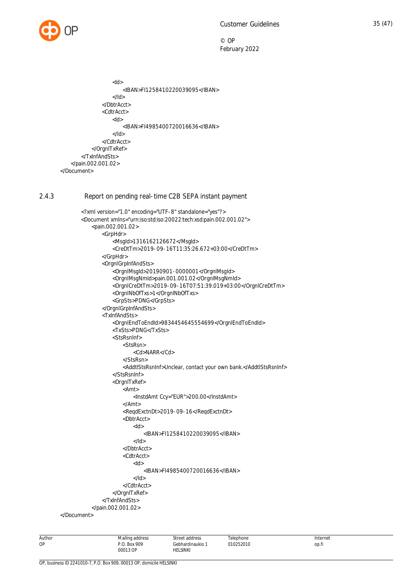

```
 <Id>
                         <IBAN>FI1258410220039095</IBAN>
                    </Id> </DbtrAcct>
                 <CdtrAcct>
                     <Id>
                         <IBAN>FI4985400720016636</IBAN>
                    </Id>
                 </CdtrAcct>
            </OrgnlTxRef>
        </TxInfAndSts>
    </pain.002.001.02>
</Document>
```
### 2.4.3 Report on pending real-time C2B SEPA instant payment

```
<?xml version="1.0" encoding="UTF-8" standalone="yes"?>
       <Document xmlns="urn:iso:std:iso:20022:tech:xsd:pain.002.001.02">
            <pain.002.001.02>
                <GrpHdr>
                    <MsgId>1316162126672</MsgId>
                    <CreDtTm>2019-09-16T11:35:26.672+03:00</CreDtTm>
                </GrpHdr>
                <OrgnlGrpInfAndSts>
                    <OrgnlMsgId>20190901-0000001</OrgnlMsgId>
                    <OrgnlMsgNmId>pain.001.001.02</OrgnlMsgNmId>
                    <OrgnlCreDtTm>2019-09-16T07:51:39.019+03:00</OrgnlCreDtTm>
                    <OrgnlNbOfTxs>1</OrgnlNbOfTxs>
                    <GrpSts>PDNG</GrpSts>
                </OrgnlGrpInfAndSts>
                <TxInfAndSts>
                    <OrgnlEndToEndId>9834454645554699</OrgnlEndToEndId>
                    <TxSts>PDNG</TxSts>
                    <StsRsnInf>
                        <StsRsn>
                            <Cd>NARR</Cd>
                        </StsRsn>
                       <AddtlStsRsnInf>Unclear, contact your own bank.</AddtlStsRsnInf>
                    </StsRsnInf>
                    <OrgnlTxRef>
                        <Amt>
                            <InstdAmt Ccy="EUR">200.00</InstdAmt>
                        </Amt>
                        <ReqdExctnDt>2019-09-16</ReqdExctnDt>
                        <DbtrAcct>
                           <Id> <IBAN>FI1258410220039095</IBAN>
                            </Id>
                        </DbtrAcct>
                        <CdtrAcct>
                           <Id> <IBAN>FI4985400720016636</IBAN>
                           </Id> </CdtrAcct>
                    </OrgnlTxRef>
                </TxInfAndSts>
            </pain.002.001.02>
</Document>
```

```
Author
OP
                                     Mailing address
                                    P.O. Box 909
                                    00013 OP
                                                              Street address
                                                              Gebhardinaukio 1
                                                              HELSINKI
                                                                                         Telephone
                                                                                        010252010
                                                                                                                                 Internet
                                                                                                                                 op.fi
```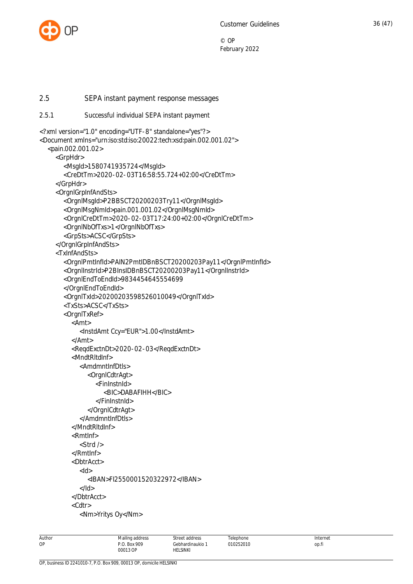

<span id="page-36-1"></span><span id="page-36-0"></span>2.5 SEPA instant payment response messages 2.5.1 Successful individual SEPA instant payment <?xml version="1.0" encoding="UTF-8" standalone="yes"?> <Document xmlns="urn:iso:std:iso:20022:tech:xsd:pain.002.001.02"> <pain.002.001.02> <GrpHdr> <MsgId>1580741935724</MsgId> <CreDtTm>2020-02-03T16:58:55.724+02:00</CreDtTm> </GrpHdr> <OrgnlGrpInfAndSts> <OrgnlMsgId>P2BBSCT20200203Try11</OrgnlMsgId> <OrgnlMsgNmId>pain.001.001.02</OrgnlMsgNmId> <OrgnlCreDtTm>2020-02-03T17:24:00+02:00</OrgnlCreDtTm> <OrgnlNbOfTxs>1</OrgnlNbOfTxs> <GrpSts>ACSC</GrpSts> </OrgnlGrpInfAndSts> <TxInfAndSts> <OrgnlPmtInfId>PAIN2PmtIDBnBSCT20200203Pay11</OrgnlPmtInfId> <OrgnlInstrId>P2BInsIDBnBSCT20200203Pay11</OrgnlInstrId> <OrgnlEndToEndId>9834454645554699 </OrgnlEndToEndId> <OrgnlTxId>20200203598526010049</OrgnlTxId> <TxSts>ACSC</TxSts> <OrgnlTxRef> <Amt> <InstdAmt Ccy="EUR">1.00</InstdAmt> </Amt> <ReqdExctnDt>2020-02-03</ReqdExctnDt> <MndtRltdInf> <AmdmntInfDtls> <OrgnlCdtrAgt> <FinInstnId> <BIC>DABAFIHH</BIC> </FinInstnId> </OrgnlCdtrAgt> </AmdmntInfDtls> </MndtRltdInf> <RmtInf> <Strd /> </RmtInf> <DbtrAcct>  $<$ hl $>$  <IBAN>FI2550001520322972</IBAN> </Id> </DbtrAcct> <Cdtr> <Nm>Yritys Oy</Nm>

Mailing address P.O. Box 909 00013 OP

Street address Gebhardinaukio 1 HELSINKI

Telephone 010252010

Author OP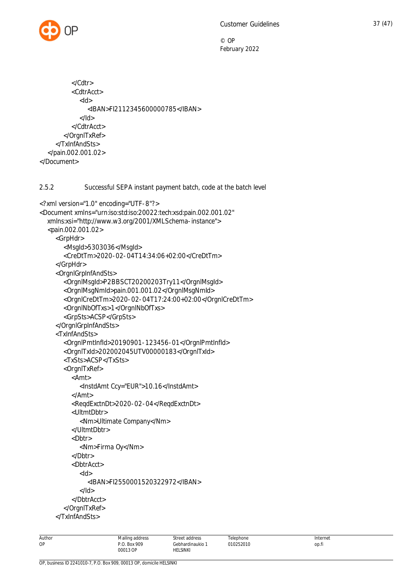

```
 </Cdtr>
           <CdtrAcct>
             <Id>
                <IBAN>FI2112345600000785</IBAN>
            </Id> </CdtrAcct>
        </OrgnlTxRef>
      </TxInfAndSts>
   </pain.002.001.02>
</Document>
2.5.2 Successful SEPA instant payment batch, code at the batch level
<?xml version="1.0" encoding="UTF-8"?>
<Document xmlns="urn:iso:std:iso:20022:tech:xsd:pain.002.001.02"
   xmlns:xsi="http://www.w3.org/2001/XMLSchema-instance">
   <pain.002.001.02>
      <GrpHdr>
        <MsgId>5303036</MsgId>
        <CreDtTm>2020-02-04T14:34:06+02:00</CreDtTm>
      </GrpHdr>
      <OrgnlGrpInfAndSts>
        <OrgnlMsgId>P2BBSCT20200203Try11</OrgnlMsgId>
        <OrgnlMsgNmId>pain.001.001.02</OrgnlMsgNmId>
        <OrgnlCreDtTm>2020-02-04T17:24:00+02:00</OrgnlCreDtTm>
        <OrgnlNbOfTxs>1</OrgnlNbOfTxs>
        <GrpSts>ACSP</GrpSts>
      </OrgnlGrpInfAndSts>
      <TxInfAndSts>
        <OrgnlPmtInfId>20190901-123456-01</OrgnlPmtInfId>
        <OrgnlTxId>202002045UTV00000183</OrgnlTxId>
        <TxSts>ACSP</TxSts>
        <OrgnlTxRef>
           <Amt>
             <InstdAmt Ccy="EUR">10.16</InstdAmt>
           </Amt>
           <ReqdExctnDt>2020-02-04</ReqdExctnDt>
           <UltmtDbtr>
             <Nm>Ultimate Company</Nm>
           </UltmtDbtr>
           <Dbtr>
             <Nm>Firma Oy</Nm>
           </Dbtr>
           <DbtrAcct>
            <Id> <IBAN>FI2550001520322972</IBAN>
            </Id> </DbtrAcct>
        </OrgnlTxRef>
      </TxInfAndSts>
```
00013 OP

Mailing address P.O. Box 909

Street address Gebhardinaukio 1 HELSINKI

Telephone 010252010

Internet op.fi

Author OP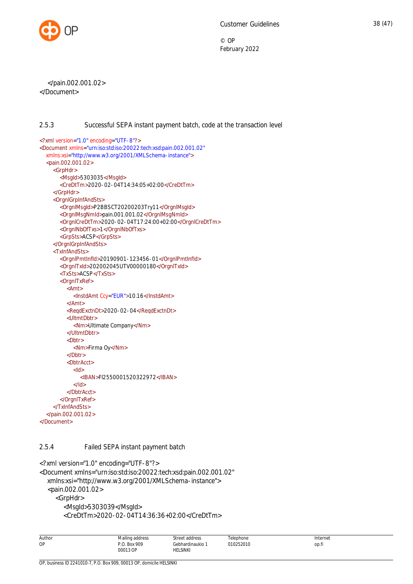

 </pain.002.001.02> </Document>

# <span id="page-38-0"></span>2.5.3 Successful SEPA instant payment batch, code at the transaction level

```
<?xml version="1.0" encoding="UTF-8"?>
<Document xmlns="urn:iso:std:iso:20022:tech:xsd:pain.002.001.02"
  xmlns:xsi="http://www.w3.org/2001/XMLSchema-instance">
  <pain.002.001.02>
    <GrpHdr>
       <MsgId>5303035</MsgId>
       <CreDtTm>2020-02-04T14:34:05+02:00</CreDtTm>
    </GrpHdr>
    <OrgnlGrpInfAndSts>
       <OrgnlMsgId>P2BBSCT20200203Try11</OrgnlMsgId>
       <OrgnlMsgNmId>pain.001.001.02</OrgnlMsgNmId>
       <OrgnlCreDtTm>2020-02-04T17:24:00+02:00</OrgnlCreDtTm>
       <OrgnlNbOfTxs>1</OrgnlNbOfTxs>
       <GrpSts>ACSP</GrpSts>
    </OrgnlGrpInfAndSts>
    <TxInfAndSts>
       <OrgnlPmtInfId>20190901-123456-01</OrgnlPmtInfId>
       <OrgnlTxId>202002045UTV00000180</OrgnlTxId>
       <TxSts>ACSP</TxSts>
       <OrgnlTxRef>
         <Amt>
           <InstdAmt Ccy="EUR">10.16</InstdAmt>
         </Amt>
         <ReqdExctnDt>2020-02-04</ReqdExctnDt>
         <UltmtDbtr>
           <Nm>Ultimate Company</Nm>
         </UltmtDbtr>
         <Dbtr>
            <Nm>Firma Oy</Nm>
         \angle/Dhtr\sim<DbtrAcct>
            <Id>
              <IBAN>FI2550001520322972</IBAN>
           </Id></DbtrAcct>
       </OrgnlTxRef>
    </TxInfAndSts>
  </pain.002.001.02>
</Document>
```
# <span id="page-38-1"></span>2.5.4 Failed SEPA instant payment batch

```
<?xml version="1.0" encoding="UTF-8"?>
<Document xmlns="urn:iso:std:iso:20022:tech:xsd:pain.002.001.02"
   xmlns:xsi="http://www.w3.org/2001/XMLSchema-instance">
   <pain.002.001.02>
      <GrpHdr>
        <MsgId>5303039</MsgId>
        <CreDtTm>2020-02-04T14:36:36+02:00</CreDtTm>
```

| Author | Mailing address | Street address  | Telephone | Internet |
|--------|-----------------|-----------------|-----------|----------|
| OP     | Box 909<br>D C  | Sebhardinaukio. | 010252010 | op.fi    |
|        | 00013           | <b>HELSINKI</b> |           |          |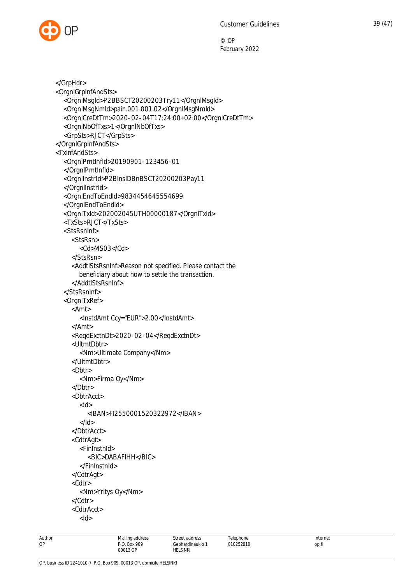

 </GrpHdr> <OrgnlGrpInfAndSts> <OrgnlMsgId>P2BBSCT20200203Try11</OrgnlMsgId> <OrgnlMsgNmId>pain.001.001.02</OrgnlMsgNmId> <OrgnlCreDtTm>2020-02-04T17:24:00+02:00</OrgnlCreDtTm> <OrgnlNbOfTxs>1</OrgnlNbOfTxs> <GrpSts>RJCT</GrpSts> </OrgnlGrpInfAndSts> <TxInfAndSts> <OrgnlPmtInfId>20190901-123456-01 </OrgnlPmtInfId> <OrgnlInstrId>P2BInsIDBnBSCT20200203Pay11 </OrgnlInstrId> <OrgnlEndToEndId>9834454645554699 </OrgnlEndToEndId> <OrgnlTxId>202002045UTH00000187</OrgnlTxId> <TxSts>RJCT</TxSts> <StsRsnInf> <StsRsn> <Cd>MS03</Cd> </StsRsn> <AddtlStsRsnInf>Reason not specified. Please contact the beneficiary about how to settle the transaction. </AddtlStsRsnInf> </StsRsnInf> <OrgnlTxRef> <Amt> <InstdAmt Ccy="EUR">2.00</InstdAmt> </Amt> <ReqdExctnDt>2020-02-04</ReqdExctnDt> <UltmtDbtr> <Nm>Ultimate Company</Nm> </UltmtDbtr> <Dbtr> <Nm>Firma Oy</Nm> </Dbtr> <DbtrAcct>  $<$ Id $>$  <IBAN>FI2550001520322972</IBAN> </Id> </DbtrAcct> <CdtrAgt> <FinInstnId> <BIC>DABAFIHH</BIC> </FinInstnId> </CdtrAgt> <Cdtr> <Nm>Yritys Oy</Nm> </Cdtr> <CdtrAcct> <Id>

Mailing address P.O. Box 909 00013 OP

Street address Gebhardinaukio 1 HELSINKI

Telephone 010252010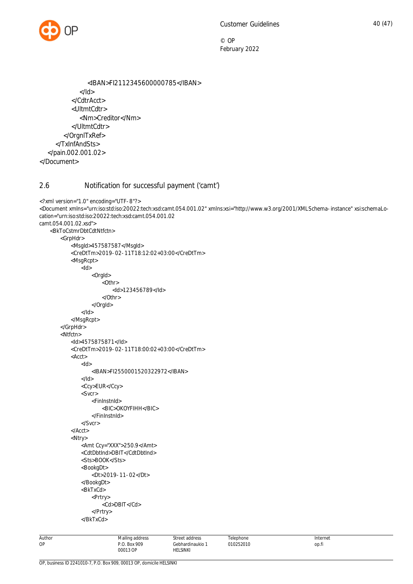```
 <IBAN>FI2112345600000785</IBAN>
            </Id> </CdtrAcct>
           <UltmtCdtr>
              <Nm>Creditor</Nm>
           </UltmtCdtr>
        </OrgnlTxRef>
      </TxInfAndSts>
   </pain.002.001.02>
</Document>
```
# <span id="page-40-0"></span>2.6 Notification for successful payment ('camt')

```
<?xml version="1.0" encoding="UTF-8"?>
<Document xmlns="urn:iso:std:iso:20022:tech:xsd:camt.054.001.02" xmlns:xsi="http://www.w3.org/2001/XMLSchema-instance" xsi:schemaLo-
cation="urn:iso:std:iso:20022:tech:xsd:camt.054.001.02
camt.054.001.02.xsd">
     <BkToCstmrDbtCdtNtfctn>
         <GrpHdr>
             <MsgId>457587587</MsgId>
             <CreDtTm>2019-02-11T18:12:02+03:00</CreDtTm>
             <MsgRcpt>
                <Id> <OrgId>
                         <Othr>
                             <Id>123456789</Id>
                         </Othr>
                     </OrgId>
                 </Id>
             </MsgRcpt>
         </GrpHdr>
         <Ntfctn>
             <Id>4575875871</Id>
             <CreDtTm>2019-02-11T18:00:02+03:00</CreDtTm>
             <Acct>
                <Id> <IBAN>FI2550001520322972</IBAN>
               </Id> <Ccy>EUR</Ccy>
                 <Svcr>
                     <FinInstnId>
                         <BIC>OKOYFIHH</BIC>
                     </FinInstnId>
                 </Svcr>
             </Acct>
             <Ntry>
                 <Amt Ccy="XXX">250.9</Amt>
                 <CdtDbtInd>DBIT</CdtDbtInd>
                 <Sts>BOOK</Sts>
                 <BookgDt>
                     <Dt>2019-11-02</Dt>
                 </BookgDt>
                 <BkTxCd>
                     <Prtry>
                        <Cd>DBIT</Cd>
                     </Prtry>
                 </BkTxCd>
```
Mailing address P.O. Box 909 00013 OP

Street address Gebhardinaukio 1 HELSINKI

Telephone 010252010 Internet op.fi

Author OP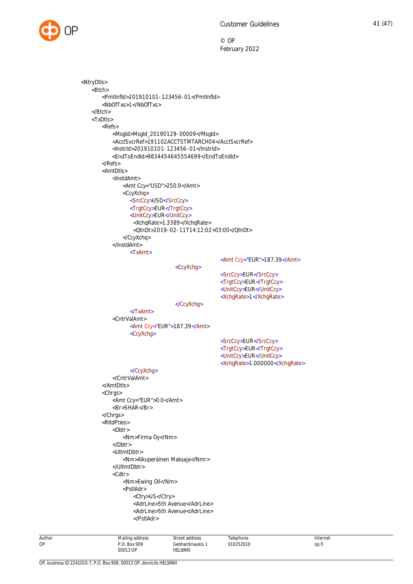

Mailing address P.O. Box 909 Street address Gebhardinaukio 1 Telephone 010252010 Internet op.fi <NtryDtls> <Btch> <PmtInfId>201910101-123456-01</PmtInfId> <NbOfTxs>1</NbOfTxs> </Btch> <TxDtls> <Refs> <MsgId>MsgId\_20190129-00009</MsgId> <AcctSvcrRef>191102ACCTSTMTARCH04</AcctSvcrRef> <InstrId>201910101-123456-01</InstrId> <EndToEndId>9834454645554699</EndToEndId> </Refs> <AmtDtls> <InstdAmt> <Amt Ccy="USD">250.9</Amt> <CcyXchq> <SrcCcy>USD</SrcCcy> <TrgtCcy>EUR</TrgtCcy> <UnitCcy>EUR</UnitCcy> <XchqRate>1.3389</XchqRate> <QtnDt>2019-02-11T14:12:02+03:00</QtnDt> </CcyXchq> </InstdAmt> <TxAmt> <Amt Ccy="EUR">187.39</Amt> <CcyXchg> <SrcCcy>EUR</SrcCcy> <TrgtCcy>EUR</TrgtCcy> <UnitCcy>EUR</UnitCcy> <XchgRate>1</XchgRate> </CcyXchg> </TxAmt> <CntrValAmt> <Amt Ccy="EUR">187.39</Amt> <CcyXchg> <SrcCcy>EUR</SrcCcy> <TrgtCcy>EUR</TrgtCcy> <UnitCcy>EUR</UnitCcy> <XchgRate>1.000000</XchgRate> </CcyXchg> </CntrValAmt> </AmtDtls> <Chrgs> <Amt Ccy="EUR">0.0</Amt> <Br>SHAR</Br> </Chrgs> <RltdPties> <Dbtr> <Nm>Firma Oy</Nm> </Dbtr> <UltmtDbtr> <Nm>Alkuperäinen Maksaja</Nmr> </UltmtDbtr> <Cdtr> <Nm>Ewing Oil</Nm> <PstlAdr> <Ctry>US</Ctry> <AdrLine>5th Avenue</AdrLine> <AdrLine>5th Avenue</AdrLine> </PstlAdr>

00013 OP

HELSINKI

Author OP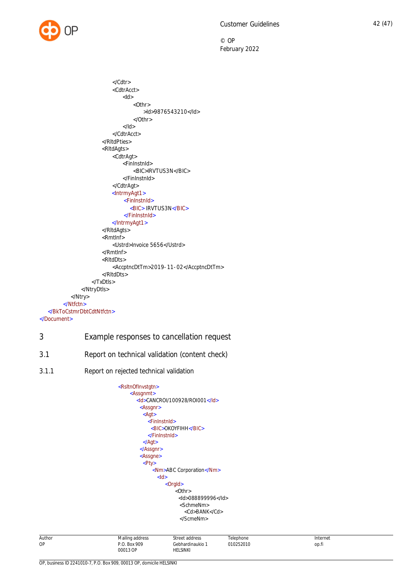

 </Cdtr> <CdtrAcct>  $<$ Id $>$  $<$  Othr $>$  >Id>9876543210</Id> </Othr>  $<$ /Id $>$  </CdtrAcct> </RltdPties> <RltdAgts> <CdtrAgt> <FinInstnId> <BIC>IRVTUS3N</BIC> </FinInstnId> </CdtrAgt> <IntrmyAgt1> <FinInstnId> <BIC> IRVTUS3N</BIC> </FinInstnId> </IntrmyAgt1> </RltdAgts> <RmtInf> <Ustrd>Invoice 5656</Ustrd> </RmtInf> <RltdDts> <AccptncDtTm>2019-11-02</AccptncDtTm> </RltdDts> </TxDtls> </NtryDtls> </Ntry> </Ntfctn> </BkToCstmrDbtCdtNtfctn> </Document> 3 Example responses to cancellation request 3.1 Report on technical validation (content check)

3.1.1 Report on rejected technical validation

<span id="page-42-2"></span><span id="page-42-1"></span><span id="page-42-0"></span>

| Author | Mailing address<br>the contract of the contract of the con- | address<br>stree*   | elephone  | Internet |
|--------|-------------------------------------------------------------|---------------------|-----------|----------|
| OP     | 909<br>D C<br>R∩v<br>.                                      | ebhardinaukio,<br>. | 010252010 | op.fi    |
|        | $\sim$ $\sim$<br>00013                                      | HELSINKI            |           |          |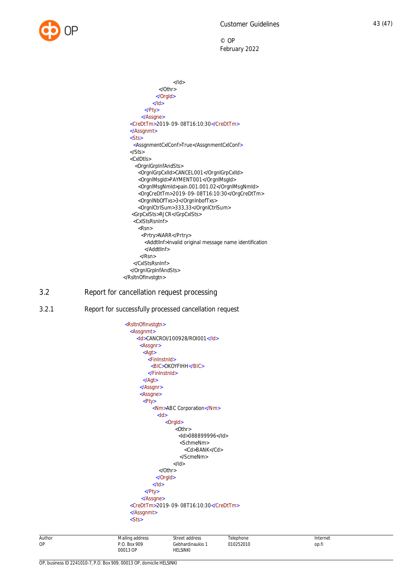

| $<$ /ld>                                                          |
|-------------------------------------------------------------------|
| $<$ /Othr $>$                                                     |
|                                                                   |
| $<$ /ld>                                                          |
| $<$ /Pty>                                                         |
|                                                                   |
| <credttm>2019-09-08T16:10:30</credttm>                            |
|                                                                   |
| $<$ Sts>                                                          |
| <assgnmentcxlconf>True</assgnmentcxlconf>                         |
| $<$ /Sts>                                                         |
| $\langle$ CxIDt $ s\rangle$                                       |
| <orgnlgrpinfandsts></orgnlgrpinfandsts>                           |
| <orgnlgrpcxlld>CANCEL001</orgnlgrpcxlld>                          |
| <orgnlmsgld>PAYMENT001</orgnlmsgld>                               |
| <orgnlmsgnmld>pain.001.001.02</orgnlmsgnmld>                      |
| <orgcredttm>2019-09-08T16:10:30</orgcredttm>                      |
| <orgninboftxs>3</orgninboftxs>                                    |
| <orgnlctrlsum>333,33</orgnlctrlsum>                               |
| <grpcxlsts>RJCR</grpcxlsts>                                       |
| <cxlstsrsninf></cxlstsrsninf>                                     |
| $<$ Rsn $>$                                                       |
| <prtry>NARR</prtry>                                               |
| <addtllnf>Invalid original message name identification</addtllnf> |
|                                                                   |
| $<$ / $Rsn$                                                       |
|                                                                   |
|                                                                   |
|                                                                   |
|                                                                   |

# <span id="page-43-0"></span>3.2 Report for cancellation request processing

3.2.1 Report for successfully processed cancellation request

<span id="page-43-1"></span>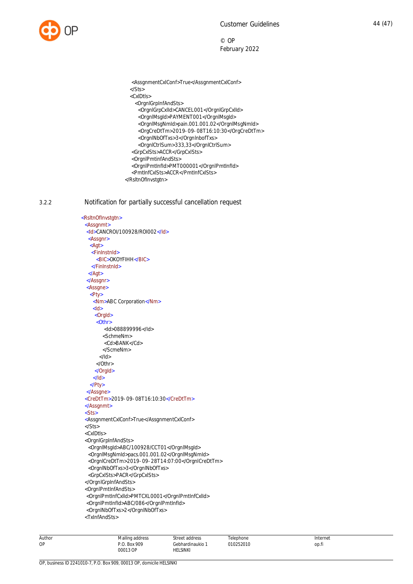

<AssgnmentCxlConf>True</AssgnmentCxlConf>

- </Sts>
- <CxlDtls>
	- <OrgnlGrpInfAndSts>
	- <OrgnlGrpCxlId>CANCEL001</OrgnlGrpCxlId>
	- <OrgnlMsgId>PAYMENT001</OrgnlMsgId>
	- <OrgnlMsgNmId>pain.001.001.02</OrgnlMsgNmId>
	- <OrgCreDtTm>2019-09-08T16:10:30</OrgCreDtTm>
	- <OrgnlNbOfTxs>3</OrgnlnbofTxs> <OrgnlCtrlSum>333,33</OrgnlCtrlSum>
- <GrpCxlSts>ACCR</GrpCxlSts>
- <OrgnlPmtinfAndSts>
- <OrgnlPmtInfId>PMT000001</OrgnlPmtInfId>
- <PmtInfCxlSts>ACCR</PmtInfCxlSts>
- </RsltnOfInvstgtn>

#### 3.2.2 Notification for partially successful cancellation request

<span id="page-44-0"></span> <RsltnOfInvstgtn> <Assgnmt> <Id>CANCROI/100928/ROI002</Id> <Assgnr>  $<$ Agt $>$ <FinInstnId> <BIC>OKOYFIHH</BIC> </FinInstnId> </Agt> </Assgnr> <Assgne>  $\overline{\text{Pt}}$ <Nm>ABC Corporation</Nm>  $<$ Id $>$ <OrgId>  $\sqrt{Oth}$ r> <Id>088899996</Id> <SchmeNm> <Cd>BANK</Cd> </ScmeNm>  $<$ /Id $>$  </Othr> </OrgId>  $<$ /Id> </Pty> </Assgne> <CreDtTm>2019-09-08T16:10:30</CreDtTm> </Assgnmt> <Sts> <AssgnmentCxlConf>True</AssgnmentCxlConf> </Sts> <CxlDtls> <OrgnlGrpInfAndSts> <OrgnlMsgId>ABC/100928/CCT01</OrgnlMsgId> <OrgnlMsgNmId>pacs.001.001.02</OrgnlMsgNmId> <OrgnlCreDtTm>2019-09-28T14:07:00</OrgnlCreDtTm> <OrgnlNbOfTxs>3</OrgnlNbOfTxs> <GrpCxlSts>PACR</GrpCxlSts> </OrgnlGrpInfAndSts> <OrgnlPmtInfAndSts> <OrgnlPmtInfCxlId>PMTCXL0001</OrgnlPmtInfCxlId> <OrgnlPmtInfId>ABC/086</OrgnlPmtInfId> <OrgnlNbOfTxs>2</OrgnlNbOfTxs>

<TxInfAndSts>

| Author | Mailing<br>address | address<br>√trc                                             | Telephone | Internet |
|--------|--------------------|-------------------------------------------------------------|-----------|----------|
| OP     | . Box 909<br>ص د   | Gebhardinaukio                                              | )10252010 | op.fi    |
|        | 00013 OP           | HELSINKI<br>the contract of the contract of the contract of |           |          |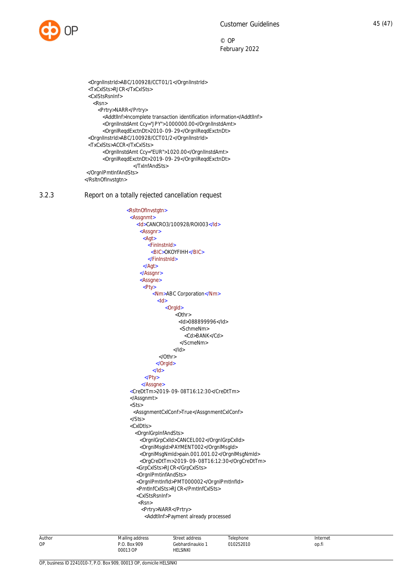

 <OrgnlInstrId>ABC/100928/CCT01/1</OrgnlInstrId> <TxCxlSts>RJCR</TxCxlSts> <CxlStsRsnInf> <Rsn> <Prtry>NARR</Prtry> <AddtlInf>Incomplete transaction identification information</AddtlInf> <OrgnlInstdAmt Ccy="JPY">1000000.00</OrgnlInstdAmt> <OrgnlReqdExctnDt>2010-09-29</OrgnlReqdExctnDt> <OrgnlInstrId>ABC/100928/CCT01/2</OrgnlInstrId> <TxCxlSts>ACCR</TxCxlSts> <OrgnlInstdAmt Ccy="EUR">1020.00</OrgnlInstdAmt> <OrgnlReqdExctnDt>2019-09-29</OrgnlReqdExctnDt> </TxInfAndSts> </OrgnlPmtInfAndSts> </RsltnOfInvstgtn>

3.2.3 Report on a totally rejected cancellation request

```
 <RsltnOfInvstgtn>
 <Assgnmt>
   <Id>CANCRO3/100928/ROI003</Id>
    <Assgnr>
      <Agt>
        <FinInstnId>
         <BIC>OKOYFIHH</BIC>
        </FinInstnId>
      </Agt>
     </Assgnr>
     <Assgne>
      -Pty<Nm>ABC Corporation</Nm>
           <Id><OrgId>
                   <Othr>
                     <Id>088899996</Id>
                     <SchmeNm>
                       <Cd>BANK</Cd>
                     </ScmeNm>
                   </Id>
             </Othr>
           </OrgId>
         </Id>
      </Pty>
     </Assgne>
 <CreDtTm>2019-09-08T16:12:30</CreDtTm>
 </Assgnmt>
 <Sts>
   <AssgnmentCxlConf>True</AssgnmentCxlConf>
 </Sts>
 <CxlDtls>
    <OrgnlGrpInfAndSts>
      <OrgnlGrpCxlId>CANCEL002</OrgnlGrpCxlId>
     <OrgnlMsgId>PAYMENT002</OrgnlMsgId>
     <OrgnlMsgNmId>pain.001.001.02</OrgnlMsgNmId>
      <OrgCreDtTm>2019-09-08T16:12:30</OrgCreDtTm>
    <GrpCxlSts>RJCR</GrpCxlSts>
    <OrgnlPmtinfAndSts>
    <OrgnlPmtInfId>PMT000002</OrgnlPmtInfId>
    <PmtInfCxlSts>RJCR</PmtInfCxlSts>
    <CxlStsRsnInf>
     <Rsn>
      <Prtry>NARR</Prtry>
       <AddtlInf>Payment already processed
```
Author OP Mailing address P.O. Box 909 00013 OP Street address Gebhardinaukio 1 HELSINKI Telephone 010252010 Internet op.fi